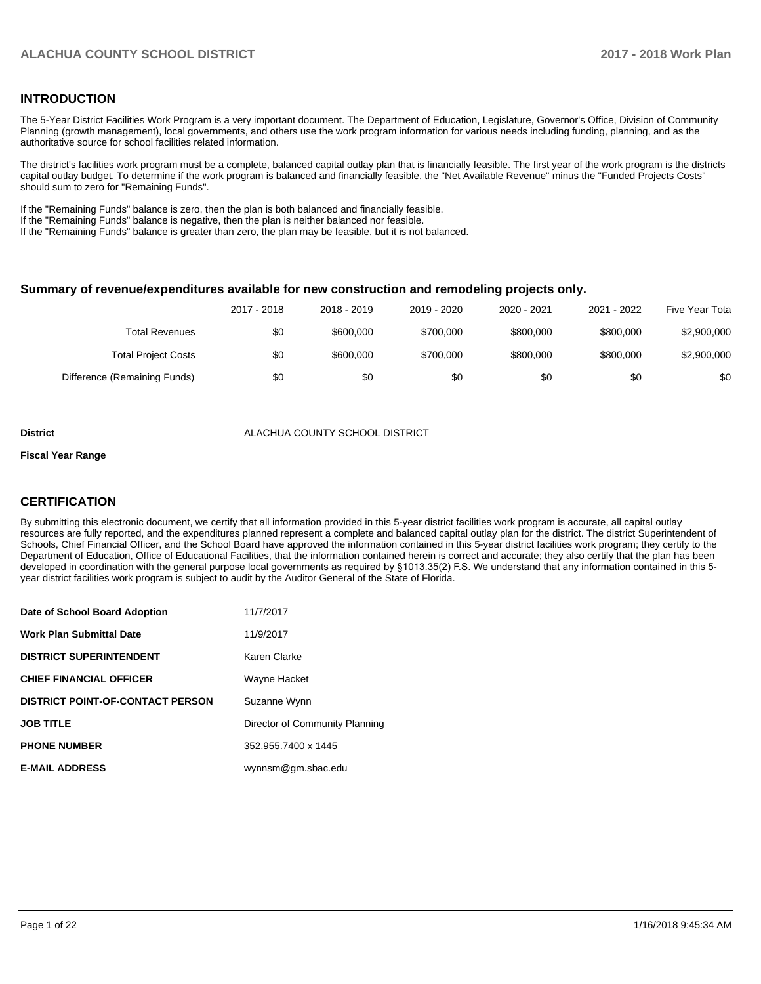## **INTRODUCTION**

The 5-Year District Facilities Work Program is a very important document. The Department of Education, Legislature, Governor's Office, Division of Community Planning (growth management), local governments, and others use the work program information for various needs including funding, planning, and as the authoritative source for school facilities related information.

The district's facilities work program must be a complete, balanced capital outlay plan that is financially feasible. The first year of the work program is the districts capital outlay budget. To determine if the work program is balanced and financially feasible, the "Net Available Revenue" minus the "Funded Projects Costs" should sum to zero for "Remaining Funds".

If the "Remaining Funds" balance is zero, then the plan is both balanced and financially feasible.

If the "Remaining Funds" balance is negative, then the plan is neither balanced nor feasible.

If the "Remaining Funds" balance is greater than zero, the plan may be feasible, but it is not balanced.

#### **Summary of revenue/expenditures available for new construction and remodeling projects only.**

|                              | 2017 - 2018 | 2018 - 2019 | 2019 - 2020 | 2020 - 2021 | 2021 - 2022 | Five Year Tota |
|------------------------------|-------------|-------------|-------------|-------------|-------------|----------------|
| Total Revenues               | \$0         | \$600,000   | \$700.000   | \$800,000   | \$800,000   | \$2,900,000    |
| <b>Total Project Costs</b>   | \$0         | \$600,000   | \$700.000   | \$800,000   | \$800,000   | \$2,900,000    |
| Difference (Remaining Funds) | \$0         | \$0         | \$0         | \$0         | \$0         | \$0            |

#### **District COUNTY SCHOOL DISTRICT**

#### **Fiscal Year Range**

## **CERTIFICATION**

By submitting this electronic document, we certify that all information provided in this 5-year district facilities work program is accurate, all capital outlay resources are fully reported, and the expenditures planned represent a complete and balanced capital outlay plan for the district. The district Superintendent of Schools, Chief Financial Officer, and the School Board have approved the information contained in this 5-year district facilities work program; they certify to the Department of Education, Office of Educational Facilities, that the information contained herein is correct and accurate; they also certify that the plan has been developed in coordination with the general purpose local governments as required by §1013.35(2) F.S. We understand that any information contained in this 5year district facilities work program is subject to audit by the Auditor General of the State of Florida.

| Date of School Board Adoption           | 11/7/2017                      |
|-----------------------------------------|--------------------------------|
| Work Plan Submittal Date                | 11/9/2017                      |
| <b>DISTRICT SUPERINTENDENT</b>          | Karen Clarke                   |
| <b>CHIEF FINANCIAL OFFICER</b>          | Wayne Hacket                   |
| <b>DISTRICT POINT-OF-CONTACT PERSON</b> | Suzanne Wynn                   |
| JOB TITLE                               | Director of Community Planning |
| <b>PHONE NUMBER</b>                     | 352.955.7400 x 1445            |
| <b>E-MAIL ADDRESS</b>                   | wynnsm@gm.sbac.edu             |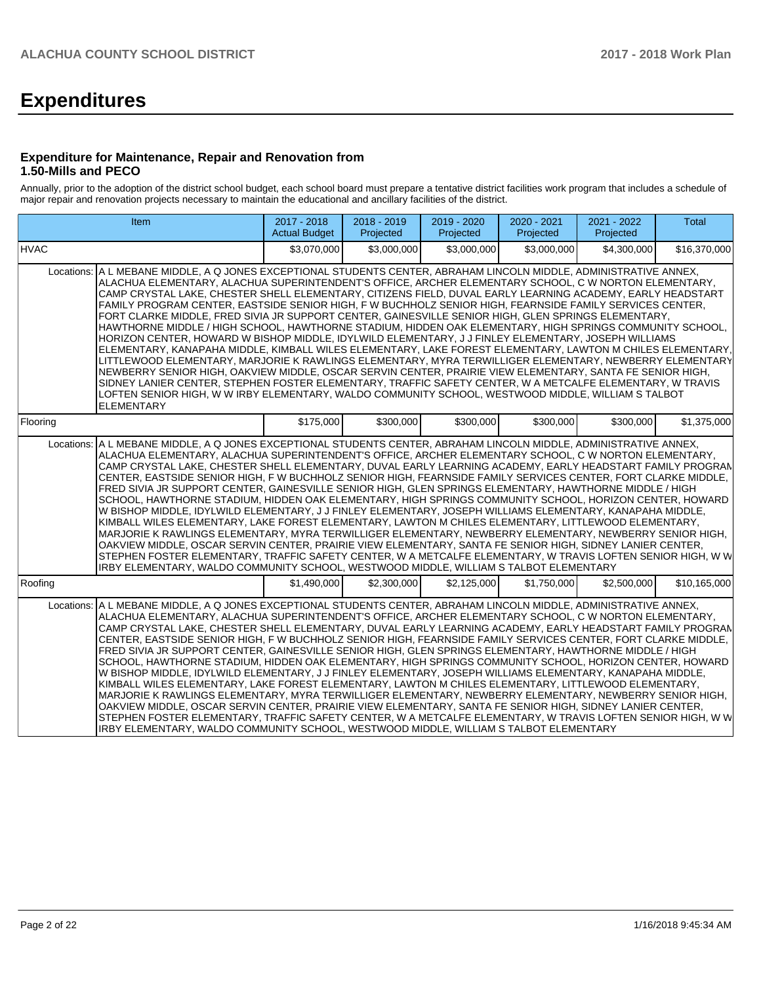# **Expenditures**

#### **Expenditure for Maintenance, Repair and Renovation from 1.50-Mills and PECO**

Annually, prior to the adoption of the district school budget, each school board must prepare a tentative district facilities work program that includes a schedule of major repair and renovation projects necessary to maintain the educational and ancillary facilities of the district.

| <b>Item</b>                                                                                                                                                                                                                                                                                                                                                                                                                                                                                                                                                                                                                                                                                                                                                                                                                                                                                                                                                                                                                                                                                                                                                                                                                                                                                                                                                   | 2017 - 2018<br><b>Actual Budget</b> | 2018 - 2019<br>Projected | 2019 - 2020<br>Projected | 2020 - 2021<br>Projected | 2021 - 2022<br>Projected | Total        |  |  |
|---------------------------------------------------------------------------------------------------------------------------------------------------------------------------------------------------------------------------------------------------------------------------------------------------------------------------------------------------------------------------------------------------------------------------------------------------------------------------------------------------------------------------------------------------------------------------------------------------------------------------------------------------------------------------------------------------------------------------------------------------------------------------------------------------------------------------------------------------------------------------------------------------------------------------------------------------------------------------------------------------------------------------------------------------------------------------------------------------------------------------------------------------------------------------------------------------------------------------------------------------------------------------------------------------------------------------------------------------------------|-------------------------------------|--------------------------|--------------------------|--------------------------|--------------------------|--------------|--|--|
| <b>HVAC</b>                                                                                                                                                                                                                                                                                                                                                                                                                                                                                                                                                                                                                                                                                                                                                                                                                                                                                                                                                                                                                                                                                                                                                                                                                                                                                                                                                   | \$3.070.000                         | \$3,000,000              | \$3,000,000              | \$3,000,000              | \$4,300,000              | \$16,370,000 |  |  |
| Locations: A L MEBANE MIDDLE, A Q JONES EXCEPTIONAL STUDENTS CENTER, ABRAHAM LINCOLN MIDDLE, ADMINISTRATIVE ANNEX,<br>ALACHUA ELEMENTARY, ALACHUA SUPERINTENDENT'S OFFICE, ARCHER ELEMENTARY SCHOOL, C W NORTON ELEMENTARY,<br>CAMP CRYSTAL LAKE, CHESTER SHELL ELEMENTARY, CITIZENS FIELD, DUVAL EARLY LEARNING ACADEMY, EARLY HEADSTART<br>FAMILY PROGRAM CENTER. EASTSIDE SENIOR HIGH. F W BUCHHOLZ SENIOR HIGH. FEARNSIDE FAMILY SERVICES CENTER.<br>FORT CLARKE MIDDLE, FRED SIVIA JR SUPPORT CENTER, GAINESVILLE SENIOR HIGH, GLEN SPRINGS ELEMENTARY,<br>HAWTHORNE MIDDLE / HIGH SCHOOL. HAWTHORNE STADIUM. HIDDEN OAK ELEMENTARY. HIGH SPRINGS COMMUNITY SCHOOL.<br>HORIZON CENTER, HOWARD W BISHOP MIDDLE, IDYLWILD ELEMENTARY, J J FINLEY ELEMENTARY, JOSEPH WILLIAMS<br>ELEMENTARY, KANAPAHA MIDDLE, KIMBALL WILES ELEMENTARY, LAKE FOREST ELEMENTARY, LAWTON M CHILES ELEMENTARY,<br>LITTLEWOOD ELEMENTARY, MARJORIE K RAWLINGS ELEMENTARY, MYRA TERWILLIGER ELEMENTARY, NEWBERRY ELEMENTARY<br>NEWBERRY SENIOR HIGH, OAKVIEW MIDDLE, OSCAR SERVIN CENTER, PRAIRIE VIEW ELEMENTARY, SANTA FE SENIOR HIGH,<br>SIDNEY LANIER CENTER, STEPHEN FOSTER ELEMENTARY, TRAFFIC SAFETY CENTER, W A METCALFE ELEMENTARY, W TRAVIS<br>LOFTEN SENIOR HIGH, W W IRBY ELEMENTARY, WALDO COMMUNITY SCHOOL, WESTWOOD MIDDLE, WILLIAM S TALBOT<br><b>ELEMENTARY</b> |                                     |                          |                          |                          |                          |              |  |  |
| Flooring                                                                                                                                                                                                                                                                                                                                                                                                                                                                                                                                                                                                                                                                                                                                                                                                                                                                                                                                                                                                                                                                                                                                                                                                                                                                                                                                                      | \$175,000                           | \$300.000                | \$300,000                | \$300,000                | \$300,000                | \$1,375,000  |  |  |
| Locations: A L MEBANE MIDDLE, A Q JONES EXCEPTIONAL STUDENTS CENTER, ABRAHAM LINCOLN MIDDLE, ADMINISTRATIVE ANNEX,<br>ALACHUA ELEMENTARY, ALACHUA SUPERINTENDENT'S OFFICE, ARCHER ELEMENTARY SCHOOL, C W NORTON ELEMENTARY,<br>CAMP CRYSTAL LAKE, CHESTER SHELL ELEMENTARY, DUVAL EARLY LEARNING ACADEMY, EARLY HEADSTART FAMILY PROGRAN<br>CENTER, EASTSIDE SENIOR HIGH, F W BUCHHOLZ SENIOR HIGH, FEARNSIDE FAMILY SERVICES CENTER, FORT CLARKE MIDDLE,<br>FRED SIVIA JR SUPPORT CENTER, GAINESVILLE SENIOR HIGH, GLEN SPRINGS ELEMENTARY, HAWTHORNE MIDDLE / HIGH<br>SCHOOL. HAWTHORNE STADIUM. HIDDEN OAK ELEMENTARY. HIGH SPRINGS COMMUNITY SCHOOL. HORIZON CENTER. HOWARD<br>W BISHOP MIDDLE, IDYLWILD ELEMENTARY, J J FINLEY ELEMENTARY, JOSEPH WILLIAMS ELEMENTARY, KANAPAHA MIDDLE,<br>KIMBALL WILES ELEMENTARY, LAKE FOREST ELEMENTARY, LAWTON M CHILES ELEMENTARY, LITTLEWOOD ELEMENTARY,<br>MARJORIE K RAWLINGS ELEMENTARY, MYRA TERWILLIGER ELEMENTARY, NEWBERRY ELEMENTARY, NEWBERRY SENIOR HIGH,<br>OAKVIEW MIDDLE, OSCAR SERVIN CENTER, PRAIRIE VIEW ELEMENTARY, SANTA FE SENIOR HIGH, SIDNEY LANIER CENTER,<br>STEPHEN FOSTER ELEMENTARY, TRAFFIC SAFETY CENTER, W A METCALFE ELEMENTARY, W TRAVIS LOFTEN SENIOR HIGH, W W<br>IRBY ELEMENTARY, WALDO COMMUNITY SCHOOL, WESTWOOD MIDDLE, WILLIAM S TALBOT ELEMENTARY                          |                                     |                          |                          |                          |                          |              |  |  |
| Roofing                                                                                                                                                                                                                                                                                                                                                                                                                                                                                                                                                                                                                                                                                                                                                                                                                                                                                                                                                                                                                                                                                                                                                                                                                                                                                                                                                       | \$1.490.000                         | \$2,300,000              | \$2,125,000              | \$1,750,000              | \$2,500,000              | \$10,165,000 |  |  |
| A L MEBANE MIDDLE, A Q JONES EXCEPTIONAL STUDENTS CENTER, ABRAHAM LINCOLN MIDDLE, ADMINISTRATIVE ANNEX,<br>Locations:<br>ALACHUA ELEMENTARY, ALACHUA SUPERINTENDENT'S OFFICE, ARCHER ELEMENTARY SCHOOL, C W NORTON ELEMENTARY,<br>CAMP CRYSTAL LAKE, CHESTER SHELL ELEMENTARY, DUVAL EARLY LEARNING ACADEMY, EARLY HEADSTART FAMILY PROGRAN<br>CENTER, EASTSIDE SENIOR HIGH, FW BUCHHOLZ SENIOR HIGH, FEARNSIDE FAMILY SERVICES CENTER, FORT CLARKE MIDDLE,<br>FRED SIVIA JR SUPPORT CENTER. GAINESVILLE SENIOR HIGH. GLEN SPRINGS ELEMENTARY. HAWTHORNE MIDDLE / HIGH<br>SCHOOL, HAWTHORNE STADIUM, HIDDEN OAK ELEMENTARY, HIGH SPRINGS COMMUNITY SCHOOL, HORIZON CENTER, HOWARD<br>W BISHOP MIDDLE, IDYLWILD ELEMENTARY, J J FINLEY ELEMENTARY, JOSEPH WILLIAMS ELEMENTARY, KANAPAHA MIDDLE,<br>KIMBALL WILES ELEMENTARY, LAKE FOREST ELEMENTARY, LAWTON M CHILES ELEMENTARY, LITTLEWOOD ELEMENTARY,<br>MARJORIE K RAWLINGS ELEMENTARY, MYRA TERWILLIGER ELEMENTARY, NEWBERRY ELEMENTARY, NEWBERRY SENIOR HIGH,<br>OAKVIEW MIDDLE, OSCAR SERVIN CENTER, PRAIRIE VIEW ELEMENTARY, SANTA FE SENIOR HIGH, SIDNEY LANIER CENTER,<br>STEPHEN FOSTER ELEMENTARY, TRAFFIC SAFETY CENTER, W A METCALFE ELEMENTARY, W TRAVIS LOFTEN SENIOR HIGH, W W<br>IRBY ELEMENTARY, WALDO COMMUNITY SCHOOL, WESTWOOD MIDDLE, WILLIAM S TALBOT ELEMENTARY                        |                                     |                          |                          |                          |                          |              |  |  |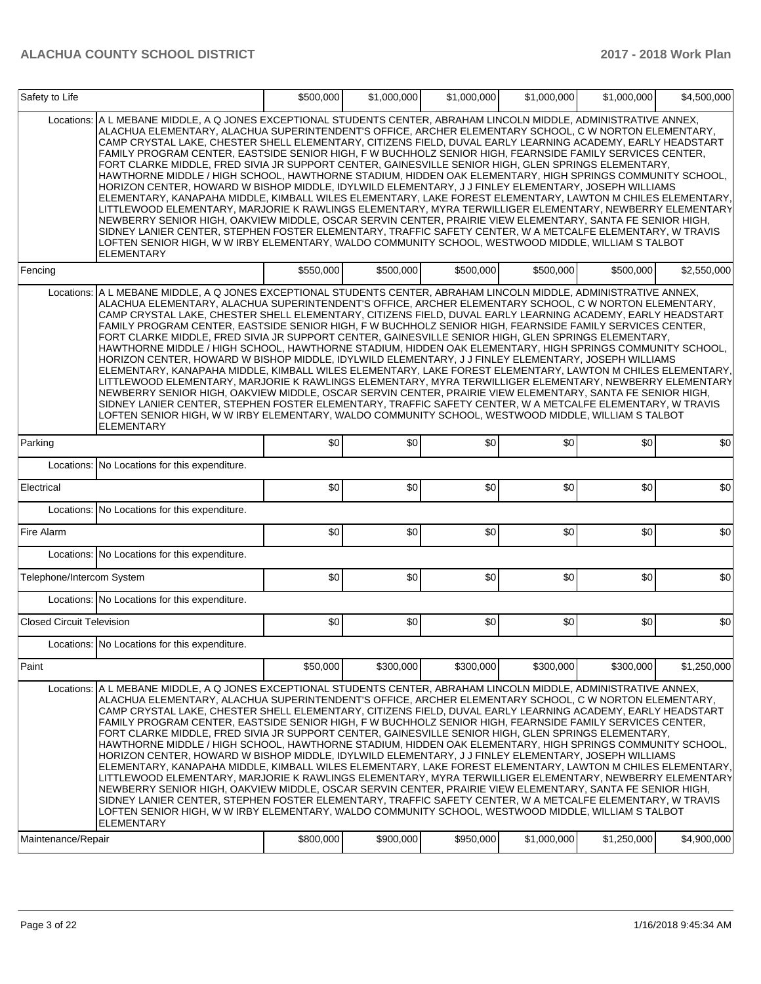| Safety to Life                   |                                                                                                                                                                                                                                                                                                                                                                                                                                                                                                                                                                                                                                                                                                                                                                                                                                                                                                                                                                                                                                                                                                                                                                                                                                                                                                                                                    | \$500,000 | \$1,000,000 | \$1,000,000 | \$1,000,000 | \$1,000,000 | \$4,500,000 |
|----------------------------------|----------------------------------------------------------------------------------------------------------------------------------------------------------------------------------------------------------------------------------------------------------------------------------------------------------------------------------------------------------------------------------------------------------------------------------------------------------------------------------------------------------------------------------------------------------------------------------------------------------------------------------------------------------------------------------------------------------------------------------------------------------------------------------------------------------------------------------------------------------------------------------------------------------------------------------------------------------------------------------------------------------------------------------------------------------------------------------------------------------------------------------------------------------------------------------------------------------------------------------------------------------------------------------------------------------------------------------------------------|-----------|-------------|-------------|-------------|-------------|-------------|
| Locations:                       | A L MEBANE MIDDLE, A Q JONES EXCEPTIONAL STUDENTS CENTER, ABRAHAM LINCOLN MIDDLE, ADMINISTRATIVE ANNEX,<br>ALACHUA ELEMENTARY, ALACHUA SUPERINTENDENT'S OFFICE, ARCHER ELEMENTARY SCHOOL, C W NORTON ELEMENTARY,<br>CAMP CRYSTAL LAKE, CHESTER SHELL ELEMENTARY, CITIZENS FIELD, DUVAL EARLY LEARNING ACADEMY, EARLY HEADSTART<br>FAMILY PROGRAM CENTER, EASTSIDE SENIOR HIGH, F W BUCHHOLZ SENIOR HIGH, FEARNSIDE FAMILY SERVICES CENTER,<br>FORT CLARKE MIDDLE, FRED SIVIA JR SUPPORT CENTER, GAINESVILLE SENIOR HIGH, GLEN SPRINGS ELEMENTARY,<br>HAWTHORNE MIDDLE / HIGH SCHOOL, HAWTHORNE STADIUM, HIDDEN OAK ELEMENTARY, HIGH SPRINGS COMMUNITY SCHOOL,<br>HORIZON CENTER, HOWARD W BISHOP MIDDLE, IDYLWILD ELEMENTARY, J J FINLEY ELEMENTARY, JOSEPH WILLIAMS<br>ELEMENTARY, KANAPAHA MIDDLE, KIMBALL WILES ELEMENTARY, LAKE FOREST ELEMENTARY, LAWTON M CHILES ELEMENTARY,<br>LITTLEWOOD ELEMENTARY, MARJORIE K RAWLINGS ELEMENTARY, MYRA TERWILLIGER ELEMENTARY, NEWBERRY ELEMENTARY<br>NEWBERRY SENIOR HIGH, OAKVIEW MIDDLE, OSCAR SERVIN CENTER, PRAIRIE VIEW ELEMENTARY, SANTA FE SENIOR HIGH,<br>SIDNEY LANIER CENTER, STEPHEN FOSTER ELEMENTARY, TRAFFIC SAFETY CENTER, W A METCALFE ELEMENTARY, W TRAVIS<br>LOFTEN SENIOR HIGH, W W IRBY ELEMENTARY, WALDO COMMUNITY SCHOOL, WESTWOOD MIDDLE, WILLIAM S TALBOT<br><b>ELEMENTARY</b> |           |             |             |             |             |             |
| Fencing                          |                                                                                                                                                                                                                                                                                                                                                                                                                                                                                                                                                                                                                                                                                                                                                                                                                                                                                                                                                                                                                                                                                                                                                                                                                                                                                                                                                    | \$550,000 | \$500,000   | \$500,000   | \$500,000   | \$500,000   | \$2,550,000 |
| Locations:                       | A L MEBANE MIDDLE, A Q JONES EXCEPTIONAL STUDENTS CENTER, ABRAHAM LINCOLN MIDDLE, ADMINISTRATIVE ANNEX,<br>ALACHUA ELEMENTARY, ALACHUA SUPERINTENDENT'S OFFICE, ARCHER ELEMENTARY SCHOOL, C W NORTON ELEMENTARY,<br>CAMP CRYSTAL LAKE, CHESTER SHELL ELEMENTARY, CITIZENS FIELD, DUVAL EARLY LEARNING ACADEMY, EARLY HEADSTART<br>FAMILY PROGRAM CENTER, EASTSIDE SENIOR HIGH, F W BUCHHOLZ SENIOR HIGH, FEARNSIDE FAMILY SERVICES CENTER,<br>FORT CLARKE MIDDLE, FRED SIVIA JR SUPPORT CENTER, GAINESVILLE SENIOR HIGH, GLEN SPRINGS ELEMENTARY,<br>HAWTHORNE MIDDLE / HIGH SCHOOL, HAWTHORNE STADIUM, HIDDEN OAK ELEMENTARY, HIGH SPRINGS COMMUNITY SCHOOL,<br>HORIZON CENTER, HOWARD W BISHOP MIDDLE, IDYLWILD ELEMENTARY, J J FINLEY ELEMENTARY, JOSEPH WILLIAMS<br>ELEMENTARY, KANAPAHA MIDDLE, KIMBALL WILES ELEMENTARY, LAKE FOREST ELEMENTARY, LAWTON M CHILES ELEMENTARY,<br>LITTLEWOOD ELEMENTARY, MARJORIE K RAWLINGS ELEMENTARY, MYRA TERWILLIGER ELEMENTARY, NEWBERRY ELEMENTARY<br>NEWBERRY SENIOR HIGH, OAKVIEW MIDDLE, OSCAR SERVIN CENTER, PRAIRIE VIEW ELEMENTARY, SANTA FE SENIOR HIGH,<br>SIDNEY LANIER CENTER, STEPHEN FOSTER ELEMENTARY, TRAFFIC SAFETY CENTER, W A METCALFE ELEMENTARY, W TRAVIS<br>LOFTEN SENIOR HIGH, W W IRBY ELEMENTARY, WALDO COMMUNITY SCHOOL, WESTWOOD MIDDLE, WILLIAM S TALBOT<br>ELEMENTARY        |           |             |             |             |             |             |
| Parking                          |                                                                                                                                                                                                                                                                                                                                                                                                                                                                                                                                                                                                                                                                                                                                                                                                                                                                                                                                                                                                                                                                                                                                                                                                                                                                                                                                                    | \$0       | \$0         | \$0         | \$0         | \$0         | \$0         |
|                                  | Locations: No Locations for this expenditure.                                                                                                                                                                                                                                                                                                                                                                                                                                                                                                                                                                                                                                                                                                                                                                                                                                                                                                                                                                                                                                                                                                                                                                                                                                                                                                      |           |             |             |             |             |             |
| Electrical                       |                                                                                                                                                                                                                                                                                                                                                                                                                                                                                                                                                                                                                                                                                                                                                                                                                                                                                                                                                                                                                                                                                                                                                                                                                                                                                                                                                    | \$0       | \$0         | \$0         | \$0         | \$0         | \$0         |
|                                  | Locations: No Locations for this expenditure.                                                                                                                                                                                                                                                                                                                                                                                                                                                                                                                                                                                                                                                                                                                                                                                                                                                                                                                                                                                                                                                                                                                                                                                                                                                                                                      |           |             |             |             |             |             |
| Fire Alarm                       |                                                                                                                                                                                                                                                                                                                                                                                                                                                                                                                                                                                                                                                                                                                                                                                                                                                                                                                                                                                                                                                                                                                                                                                                                                                                                                                                                    | \$0       | \$0         | \$0         | \$0         | \$0         | \$0         |
|                                  | Locations: No Locations for this expenditure.                                                                                                                                                                                                                                                                                                                                                                                                                                                                                                                                                                                                                                                                                                                                                                                                                                                                                                                                                                                                                                                                                                                                                                                                                                                                                                      |           |             |             |             |             |             |
| Telephone/Intercom System        |                                                                                                                                                                                                                                                                                                                                                                                                                                                                                                                                                                                                                                                                                                                                                                                                                                                                                                                                                                                                                                                                                                                                                                                                                                                                                                                                                    | \$0       | \$0         | \$0         | \$0         | \$0         | \$0         |
|                                  | Locations: No Locations for this expenditure.                                                                                                                                                                                                                                                                                                                                                                                                                                                                                                                                                                                                                                                                                                                                                                                                                                                                                                                                                                                                                                                                                                                                                                                                                                                                                                      |           |             |             |             |             |             |
| <b>Closed Circuit Television</b> |                                                                                                                                                                                                                                                                                                                                                                                                                                                                                                                                                                                                                                                                                                                                                                                                                                                                                                                                                                                                                                                                                                                                                                                                                                                                                                                                                    | \$0       | \$0         | \$0         | \$0         | \$0         | \$0         |
|                                  | Locations: No Locations for this expenditure.                                                                                                                                                                                                                                                                                                                                                                                                                                                                                                                                                                                                                                                                                                                                                                                                                                                                                                                                                                                                                                                                                                                                                                                                                                                                                                      |           |             |             |             |             |             |
| Paint                            |                                                                                                                                                                                                                                                                                                                                                                                                                                                                                                                                                                                                                                                                                                                                                                                                                                                                                                                                                                                                                                                                                                                                                                                                                                                                                                                                                    | \$50,000  | \$300,000   | \$300,000   | \$300,000   | \$300,000   | \$1,250,000 |
| Locations:                       | A L MEBANE MIDDLE, A Q JONES EXCEPTIONAL STUDENTS CENTER, ABRAHAM LINCOLN MIDDLE, ADMINISTRATIVE ANNEX,<br>ALACHUA ELEMENTARY, ALACHUA SUPERINTENDENT'S OFFICE, ARCHER ELEMENTARY SCHOOL, C W NORTON ELEMENTARY,<br>CAMP CRYSTAL LAKE, CHESTER SHELL ELEMENTARY, CITIZENS FIELD, DUVAL EARLY LEARNING ACADEMY, EARLY HEADSTART<br>FAMILY PROGRAM CENTER, EASTSIDE SENIOR HIGH, F W BUCHHOLZ SENIOR HIGH, FEARNSIDE FAMILY SERVICES CENTER,<br>FORT CLARKE MIDDLE, FRED SIVIA JR SUPPORT CENTER, GAINESVILLE SENIOR HIGH, GLEN SPRINGS ELEMENTARY,<br>HAWTHORNE MIDDLE / HIGH SCHOOL, HAWTHORNE STADIUM, HIDDEN OAK ELEMENTARY, HIGH SPRINGS COMMUNITY SCHOOL,<br>HORIZON CENTER, HOWARD W BISHOP MIDDLE, IDYLWILD ELEMENTARY, J J FINLEY ELEMENTARY, JOSEPH WILLIAMS<br>ELEMENTARY, KANAPAHA MIDDLE, KIMBALL WILES ELEMENTARY, LAKE FOREST ELEMENTARY, LAWTON M CHILES ELEMENTARY,<br>LITTLEWOOD ELEMENTARY, MARJORIE K RAWLINGS ELEMENTARY, MYRA TERWILLIGER ELEMENTARY, NEWBERRY ELEMENTARY<br>NEWBERRY SENIOR HIGH, OAKVIEW MIDDLE, OSCAR SERVIN CENTER, PRAIRIE VIEW ELEMENTARY, SANTA FE SENIOR HIGH,<br>SIDNEY LANIER CENTER, STEPHEN FOSTER ELEMENTARY, TRAFFIC SAFETY CENTER, W A METCALFE ELEMENTARY, W TRAVIS<br>LOFTEN SENIOR HIGH, W W IRBY ELEMENTARY, WALDO COMMUNITY SCHOOL, WESTWOOD MIDDLE, WILLIAM S TALBOT<br>ELEMENTARY        |           |             |             |             |             |             |
| Maintenance/Repair               |                                                                                                                                                                                                                                                                                                                                                                                                                                                                                                                                                                                                                                                                                                                                                                                                                                                                                                                                                                                                                                                                                                                                                                                                                                                                                                                                                    | \$800,000 | \$900,000   | \$950,000   | \$1,000,000 | \$1,250,000 | \$4,900,000 |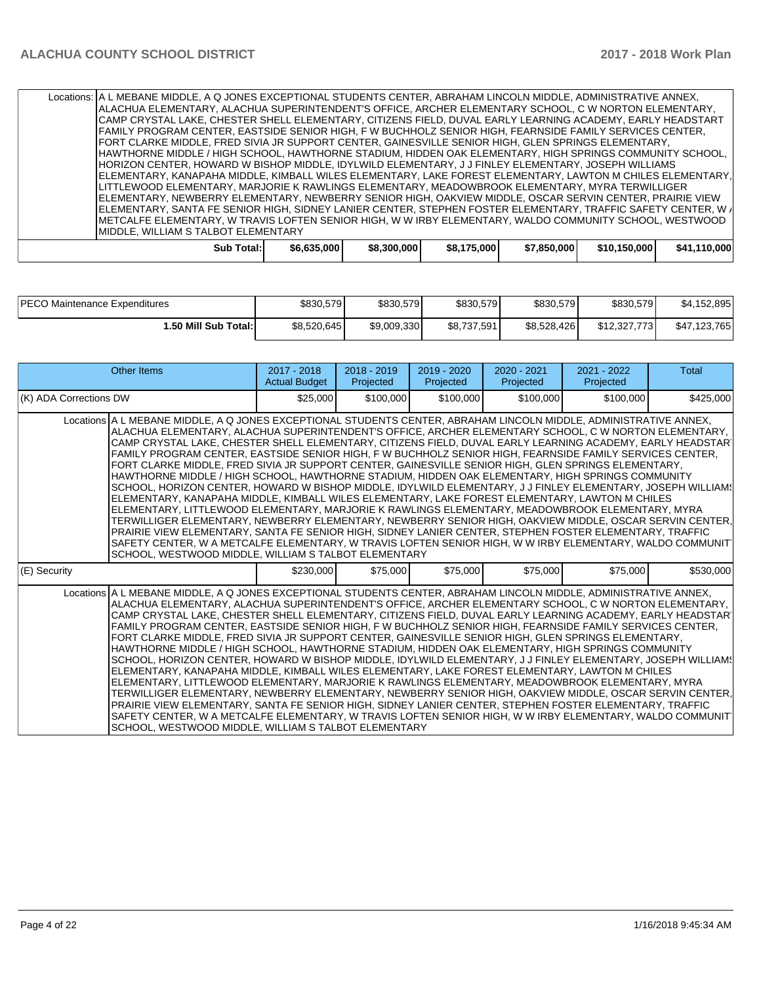| Locations:   A L MEBANE MIDDLE, A Q JONES EXCEPTIONAL STUDENTS CENTER, ABRAHAM LINCOLN MIDDLE, ADMINISTRATIVE ANNEX, |             |             |             |             |              |              |  |  |  |
|----------------------------------------------------------------------------------------------------------------------|-------------|-------------|-------------|-------------|--------------|--------------|--|--|--|
| ALACHUA ELEMENTARY, ALACHUA SUPERINTENDENT'S OFFICE, ARCHER ELEMENTARY SCHOOL, C W NORTON ELEMENTARY,                |             |             |             |             |              |              |  |  |  |
| CAMP CRYSTAL LAKE, CHESTER SHELL ELEMENTARY, CITIZENS FIELD, DUVAL EARLY LEARNING ACADEMY, EARLY HEADSTART           |             |             |             |             |              |              |  |  |  |
| FAMILY PROGRAM CENTER. EASTSIDE SENIOR HIGH. F W BUCHHOLZ SENIOR HIGH. FEARNSIDE FAMILY SERVICES CENTER.             |             |             |             |             |              |              |  |  |  |
| FORT CLARKE MIDDLE, FRED SIVIA JR SUPPORT CENTER, GAINESVILLE SENIOR HIGH, GLEN SPRINGS ELEMENTARY,                  |             |             |             |             |              |              |  |  |  |
| HAWTHORNE MIDDLE / HIGH SCHOOL, HAWTHORNE STADIUM, HIDDEN OAK ELEMENTARY, HIGH SPRINGS COMMUNITY SCHOOL,             |             |             |             |             |              |              |  |  |  |
| HORIZON CENTER, HOWARD W BISHOP MIDDLE, IDYLWILD ELEMENTARY, J J FINLEY ELEMENTARY, JOSEPH WILLIAMS                  |             |             |             |             |              |              |  |  |  |
| ELEMENTARY, KANAPAHA MIDDLE, KIMBALL WILES ELEMENTARY, LAKE FOREST ELEMENTARY, LAWTON M CHILES ELEMENTARY,           |             |             |             |             |              |              |  |  |  |
| LITTLEWOOD ELEMENTARY, MARJORIE K RAWLINGS ELEMENTARY, MEADOWBROOK ELEMENTARY, MYRA TERWILLIGER                      |             |             |             |             |              |              |  |  |  |
| IELEMENTARY, NEWBERRY ELEMENTARY, NEWBERRY SENIOR HIGH, OAKVIEW MIDDLE, OSCAR SERVIN CENTER, PRAIRIE VIEW            |             |             |             |             |              |              |  |  |  |
| IELEMENTARY, SANTA FE SENIOR HIGH, SIDNEY LANIER CENTER, STEPHEN FOSTER ELEMENTARY, TRAFFIC SAFETY CENTER, W≢        |             |             |             |             |              |              |  |  |  |
| IMETCALFE ELEMENTARY, W TRAVIS LOFTEN SENIOR HIGH, W W IRBY ELEMENTARY, WALDO COMMUNITY SCHOOL, WESTWOOD             |             |             |             |             |              |              |  |  |  |
| MIDDLE, WILLIAM S TALBOT ELEMENTARY                                                                                  |             |             |             |             |              |              |  |  |  |
| Sub Total:                                                                                                           | \$6.635,000 | \$8,300,000 | \$8,175,000 | \$7,850,000 | \$10,150,000 | \$41,110,000 |  |  |  |

| <b>PECO</b><br>) Maintenance Expenditures | \$830,579   | \$830,579   | \$830,579   | \$830,579   | \$830,579    | \$4,152,895  |
|-------------------------------------------|-------------|-------------|-------------|-------------|--------------|--------------|
| 1.50 Mill Sub Total:                      | \$8,520,645 | \$9,009,330 | \$8,737,591 | \$8,528,426 | \$12,327,773 | \$47,123,765 |

| Other Items                                                                                                                                                                                                                                                                                                                                                                                                                                                                                                                                                                                                                                                                                                                                                                                                                                                                                                                                                                                                                                                                                                                                                                                                                                                                                                                                                                 | $2017 - 2018$<br><b>Actual Budget</b> | 2018 - 2019<br>Projected | $2019 - 2020$<br>Projected | 2020 - 2021<br>Projected | 2021 - 2022<br>Projected | Total     |  |  |  |
|-----------------------------------------------------------------------------------------------------------------------------------------------------------------------------------------------------------------------------------------------------------------------------------------------------------------------------------------------------------------------------------------------------------------------------------------------------------------------------------------------------------------------------------------------------------------------------------------------------------------------------------------------------------------------------------------------------------------------------------------------------------------------------------------------------------------------------------------------------------------------------------------------------------------------------------------------------------------------------------------------------------------------------------------------------------------------------------------------------------------------------------------------------------------------------------------------------------------------------------------------------------------------------------------------------------------------------------------------------------------------------|---------------------------------------|--------------------------|----------------------------|--------------------------|--------------------------|-----------|--|--|--|
| (K) ADA Corrections DW                                                                                                                                                                                                                                                                                                                                                                                                                                                                                                                                                                                                                                                                                                                                                                                                                                                                                                                                                                                                                                                                                                                                                                                                                                                                                                                                                      | \$25,000                              | \$100,000                | \$100,000                  | \$100,000                | \$100,000                | \$425,000 |  |  |  |
| Locations A L MEBANE MIDDLE, A Q JONES EXCEPTIONAL STUDENTS CENTER, ABRAHAM LINCOLN MIDDLE, ADMINISTRATIVE ANNEX,<br>ALACHUA ELEMENTARY, ALACHUA SUPERINTENDENT'S OFFICE, ARCHER ELEMENTARY SCHOOL, C W NORTON ELEMENTARY,<br>CAMP CRYSTAL LAKE, CHESTER SHELL ELEMENTARY, CITIZENS FIELD, DUVAL EARLY LEARNING ACADEMY, EARLY HEADSTAR<br>FAMILY PROGRAM CENTER. EASTSIDE SENIOR HIGH. FW BUCHHOLZ SENIOR HIGH. FEARNSIDE FAMILY SERVICES CENTER.<br>FORT CLARKE MIDDLE, FRED SIVIA JR SUPPORT CENTER, GAINESVILLE SENIOR HIGH, GLEN SPRINGS ELEMENTARY,<br>HAWTHORNE MIDDLE / HIGH SCHOOL, HAWTHORNE STADIUM, HIDDEN OAK ELEMENTARY, HIGH SPRINGS COMMUNITY<br>SCHOOL. HORIZON CENTER. HOWARD W BISHOP MIDDLE. IDYLWILD ELEMENTARY. J J FINLEY ELEMENTARY. JOSEPH WILLIAMS<br>ELEMENTARY, KANAPAHA MIDDLE, KIMBALL WILES ELEMENTARY, LAKE FOREST ELEMENTARY, LAWTON M CHILES<br>ELEMENTARY, LITTLEWOOD ELEMENTARY, MARJORIE K RAWLINGS ELEMENTARY, MEADOWBROOK ELEMENTARY, MYRA<br>TERWILLIGER ELEMENTARY, NEWBERRY ELEMENTARY, NEWBERRY SENIOR HIGH, OAKVIEW MIDDLE, OSCAR SERVIN CENTER,<br>PRAIRIE VIEW ELEMENTARY, SANTA FE SENIOR HIGH, SIDNEY LANIER CENTER, STEPHEN FOSTER ELEMENTARY, TRAFFIC<br>SAFETY CENTER, W A METCALFE ELEMENTARY, W TRAVIS LOFTEN SENIOR HIGH, W W IRBY ELEMENTARY, WALDO COMMUNIT<br>SCHOOL, WESTWOOD MIDDLE, WILLIAM S TALBOT ELEMENTARY |                                       |                          |                            |                          |                          |           |  |  |  |
| (E) Security                                                                                                                                                                                                                                                                                                                                                                                                                                                                                                                                                                                                                                                                                                                                                                                                                                                                                                                                                                                                                                                                                                                                                                                                                                                                                                                                                                | \$230,000                             | \$75,000                 | \$75,000                   | \$75,000                 | \$75,000                 | \$530,000 |  |  |  |
| Locations A L MEBANE MIDDLE, A Q JONES EXCEPTIONAL STUDENTS CENTER, ABRAHAM LINCOLN MIDDLE, ADMINISTRATIVE ANNEX,<br>ALACHUA ELEMENTARY, ALACHUA SUPERINTENDENT'S OFFICE, ARCHER ELEMENTARY SCHOOL, C W NORTON ELEMENTARY,<br>CAMP CRYSTAL LAKE, CHESTER SHELL ELEMENTARY, CITIZENS FIELD, DUVAL EARLY LEARNING ACADEMY, EARLY HEADSTAR<br>FAMILY PROGRAM CENTER, EASTSIDE SENIOR HIGH, FW BUCHHOLZ SENIOR HIGH, FEARNSIDE FAMILY SERVICES CENTER,<br>FORT CLARKE MIDDLE, FRED SIVIA JR SUPPORT CENTER, GAINESVILLE SENIOR HIGH, GLEN SPRINGS ELEMENTARY,<br>HAWTHORNE MIDDLE / HIGH SCHOOL, HAWTHORNE STADIUM, HIDDEN OAK ELEMENTARY, HIGH SPRINGS COMMUNITY<br>SCHOOL, HORIZON CENTER, HOWARD W BISHOP MIDDLE, IDYLWILD ELEMENTARY, J J FINLEY ELEMENTARY, JOSEPH WILLIAMS<br>ELEMENTARY, KANAPAHA MIDDLE, KIMBALL WILES ELEMENTARY, LAKE FOREST ELEMENTARY, LAWTON M CHILES<br>ELEMENTARY, LITTLEWOOD ELEMENTARY, MARJORIE K RAWLINGS ELEMENTARY, MEADOWBROOK ELEMENTARY, MYRA<br>TERWILLIGER ELEMENTARY, NEWBERRY ELEMENTARY, NEWBERRY SENIOR HIGH, OAKVIEW MIDDLE, OSCAR SERVIN CENTER,<br>PRAIRIE VIEW ELEMENTARY, SANTA FE SENIOR HIGH, SIDNEY LANIER CENTER, STEPHEN FOSTER ELEMENTARY, TRAFFIC<br>SAFETY CENTER, W A METCALFE ELEMENTARY, W TRAVIS LOFTEN SENIOR HIGH, W W IRBY ELEMENTARY, WALDO COMMUNIT<br>SCHOOL, WESTWOOD MIDDLE, WILLIAM S TALBOT ELEMENTARY |                                       |                          |                            |                          |                          |           |  |  |  |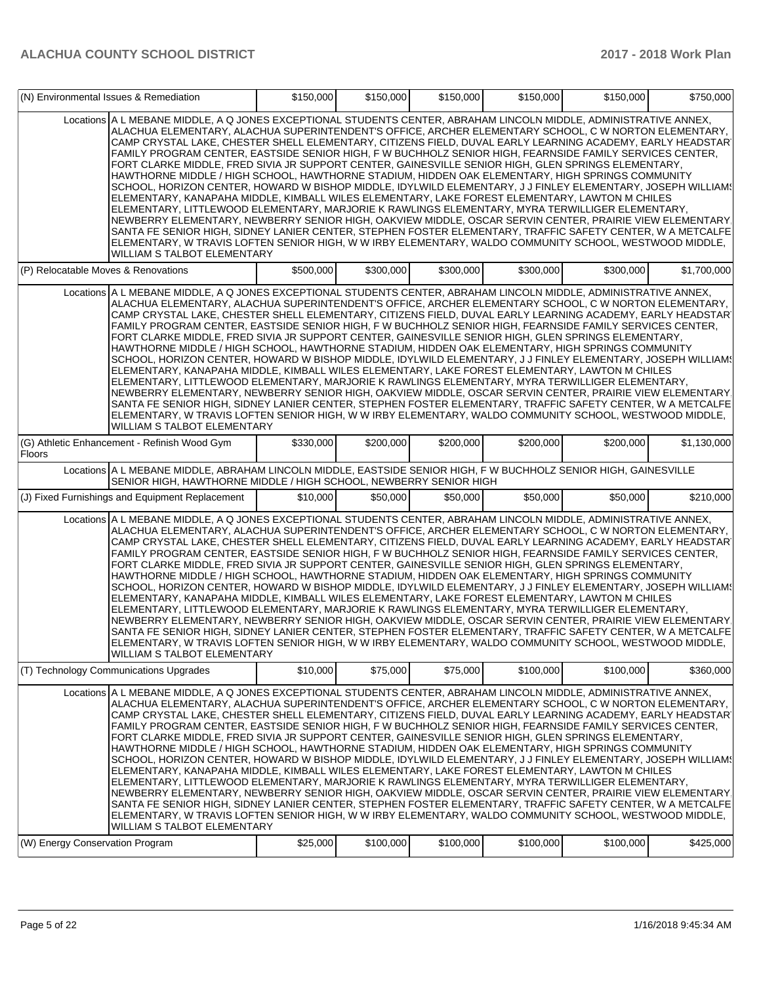|                                                                                                                                                                                                                                                                                                                                                                                                                                                                                                                                                                                                                                                                                                                                                                                                                                                                                                                                                                                                                                                                                                                                                                                                                                                                                                                                                               | (N) Environmental Issues & Remediation                                                                                                                                                                                                                                                                                                                                                                                                                                                                                                                                                                                                                                                                                                                                                                                                                                                                                                                                                                                                                                                                                                                                                                                                                                                                                                                        |           | \$150,000<br>\$150,000 | \$150,000 | \$150,000 | \$150,000 | \$750,000   |  |  |  |  |
|---------------------------------------------------------------------------------------------------------------------------------------------------------------------------------------------------------------------------------------------------------------------------------------------------------------------------------------------------------------------------------------------------------------------------------------------------------------------------------------------------------------------------------------------------------------------------------------------------------------------------------------------------------------------------------------------------------------------------------------------------------------------------------------------------------------------------------------------------------------------------------------------------------------------------------------------------------------------------------------------------------------------------------------------------------------------------------------------------------------------------------------------------------------------------------------------------------------------------------------------------------------------------------------------------------------------------------------------------------------|---------------------------------------------------------------------------------------------------------------------------------------------------------------------------------------------------------------------------------------------------------------------------------------------------------------------------------------------------------------------------------------------------------------------------------------------------------------------------------------------------------------------------------------------------------------------------------------------------------------------------------------------------------------------------------------------------------------------------------------------------------------------------------------------------------------------------------------------------------------------------------------------------------------------------------------------------------------------------------------------------------------------------------------------------------------------------------------------------------------------------------------------------------------------------------------------------------------------------------------------------------------------------------------------------------------------------------------------------------------|-----------|------------------------|-----------|-----------|-----------|-------------|--|--|--|--|
|                                                                                                                                                                                                                                                                                                                                                                                                                                                                                                                                                                                                                                                                                                                                                                                                                                                                                                                                                                                                                                                                                                                                                                                                                                                                                                                                                               | Locations A L MEBANE MIDDLE, A Q JONES EXCEPTIONAL STUDENTS CENTER, ABRAHAM LINCOLN MIDDLE, ADMINISTRATIVE ANNEX,<br>ALACHUA ELEMENTARY, ALACHUA SUPERINTENDENT'S OFFICE, ARCHER ELEMENTARY SCHOOL, C W NORTON ELEMENTARY,<br>CAMP CRYSTAL LAKE, CHESTER SHELL ELEMENTARY, CITIZENS FIELD, DUVAL EARLY LEARNING ACADEMY, EARLY HEADSTAR<br>FAMILY PROGRAM CENTER. EASTSIDE SENIOR HIGH. F W BUCHHOLZ SENIOR HIGH. FEARNSIDE FAMILY SERVICES CENTER.<br>FORT CLARKE MIDDLE, FRED SIVIA JR SUPPORT CENTER, GAINESVILLE SENIOR HIGH, GLEN SPRINGS ELEMENTARY,<br>HAWTHORNE MIDDLE / HIGH SCHOOL, HAWTHORNE STADIUM, HIDDEN OAK ELEMENTARY, HIGH SPRINGS COMMUNITY<br>SCHOOL, HORIZON CENTER, HOWARD W BISHOP MIDDLE, IDYLWILD ELEMENTARY, J J FINLEY ELEMENTARY, JOSEPH WILLIAM (<br>ELEMENTARY, KANAPAHA MIDDLE, KIMBALL WILES ELEMENTARY, LAKE FOREST ELEMENTARY, LAWTON M CHILES<br>ELEMENTARY, LITTLEWOOD ELEMENTARY, MARJORIE K RAWLINGS ELEMENTARY, MYRA TERWILLIGER ELEMENTARY,<br>NEWBERRY ELEMENTARY, NEWBERRY SENIOR HIGH, OAKVIEW MIDDLE, OSCAR SERVIN CENTER, PRAIRIE VIEW ELEMENTARY.<br>SANTA FE SENIOR HIGH, SIDNEY LANIER CENTER, STEPHEN FOSTER ELEMENTARY, TRAFFIC SAFETY CENTER, W A METCALFE<br>ELEMENTARY, W TRAVIS LOFTEN SENIOR HIGH, W W IRBY ELEMENTARY, WALDO COMMUNITY SCHOOL, WESTWOOD MIDDLE,<br><b>WILLIAM S TALBOT ELEMENTARY</b> |           |                        |           |           |           |             |  |  |  |  |
| (P) Relocatable Moves & Renovations                                                                                                                                                                                                                                                                                                                                                                                                                                                                                                                                                                                                                                                                                                                                                                                                                                                                                                                                                                                                                                                                                                                                                                                                                                                                                                                           |                                                                                                                                                                                                                                                                                                                                                                                                                                                                                                                                                                                                                                                                                                                                                                                                                                                                                                                                                                                                                                                                                                                                                                                                                                                                                                                                                               | \$500,000 | \$300,000              | \$300,000 | \$300,000 | \$300,000 | \$1.700.000 |  |  |  |  |
| Locations A L MEBANE MIDDLE, A Q JONES EXCEPTIONAL STUDENTS CENTER, ABRAHAM LINCOLN MIDDLE, ADMINISTRATIVE ANNEX,<br>ALACHUA ELEMENTARY, ALACHUA SUPERINTENDENT'S OFFICE, ARCHER ELEMENTARY SCHOOL, C W NORTON ELEMENTARY,<br>CAMP CRYSTAL LAKE, CHESTER SHELL ELEMENTARY, CITIZENS FIELD, DUVAL EARLY LEARNING ACADEMY, EARLY HEADSTAR<br>FAMILY PROGRAM CENTER, EASTSIDE SENIOR HIGH, F W BUCHHOLZ SENIOR HIGH, FEARNSIDE FAMILY SERVICES CENTER,<br>FORT CLARKE MIDDLE, FRED SIVIA JR SUPPORT CENTER, GAINESVILLE SENIOR HIGH, GLEN SPRINGS ELEMENTARY,<br>HAWTHORNE MIDDLE / HIGH SCHOOL, HAWTHORNE STADIUM, HIDDEN OAK ELEMENTARY, HIGH SPRINGS COMMUNITY<br>SCHOOL, HORIZON CENTER, HOWARD W BISHOP MIDDLE, IDYLWILD ELEMENTARY, J J FINLEY ELEMENTARY, JOSEPH WILLIAM (<br>ELEMENTARY, KANAPAHA MIDDLE, KIMBALL WILES ELEMENTARY, LAKE FOREST ELEMENTARY, LAWTON M CHILES<br>ELEMENTARY, LITTLEWOOD ELEMENTARY, MARJORIE K RAWLINGS ELEMENTARY, MYRA TERWILLIGER ELEMENTARY,<br>NEWBERRY ELEMENTARY, NEWBERRY SENIOR HIGH, OAKVIEW MIDDLE, OSCAR SERVIN CENTER, PRAIRIE VIEW ELEMENTARY,<br>SANTA FE SENIOR HIGH, SIDNEY LANIER CENTER, STEPHEN FOSTER ELEMENTARY, TRAFFIC SAFETY CENTER, W A METCALFE<br>ELEMENTARY, W TRAVIS LOFTEN SENIOR HIGH, W W IRBY ELEMENTARY, WALDO COMMUNITY SCHOOL, WESTWOOD MIDDLE,<br><b>WILLIAM S TALBOT ELEMENTARY</b> |                                                                                                                                                                                                                                                                                                                                                                                                                                                                                                                                                                                                                                                                                                                                                                                                                                                                                                                                                                                                                                                                                                                                                                                                                                                                                                                                                               |           |                        |           |           |           |             |  |  |  |  |
| <b>Floors</b>                                                                                                                                                                                                                                                                                                                                                                                                                                                                                                                                                                                                                                                                                                                                                                                                                                                                                                                                                                                                                                                                                                                                                                                                                                                                                                                                                 | (G) Athletic Enhancement - Refinish Wood Gym                                                                                                                                                                                                                                                                                                                                                                                                                                                                                                                                                                                                                                                                                                                                                                                                                                                                                                                                                                                                                                                                                                                                                                                                                                                                                                                  | \$330,000 | \$200,000              | \$200,000 | \$200,000 | \$200,000 | \$1,130,000 |  |  |  |  |
|                                                                                                                                                                                                                                                                                                                                                                                                                                                                                                                                                                                                                                                                                                                                                                                                                                                                                                                                                                                                                                                                                                                                                                                                                                                                                                                                                               | Locations A L MEBANE MIDDLE, ABRAHAM LINCOLN MIDDLE, EASTSIDE SENIOR HIGH, F W BUCHHOLZ SENIOR HIGH, GAINESVILLE<br>SENIOR HIGH, HAWTHORNE MIDDLE / HIGH SCHOOL, NEWBERRY SENIOR HIGH                                                                                                                                                                                                                                                                                                                                                                                                                                                                                                                                                                                                                                                                                                                                                                                                                                                                                                                                                                                                                                                                                                                                                                         |           |                        |           |           |           |             |  |  |  |  |
|                                                                                                                                                                                                                                                                                                                                                                                                                                                                                                                                                                                                                                                                                                                                                                                                                                                                                                                                                                                                                                                                                                                                                                                                                                                                                                                                                               | (J) Fixed Furnishings and Equipment Replacement                                                                                                                                                                                                                                                                                                                                                                                                                                                                                                                                                                                                                                                                                                                                                                                                                                                                                                                                                                                                                                                                                                                                                                                                                                                                                                               | \$10,000  | \$50,000               | \$50,000  | \$50,000  | \$50,000  | \$210,000   |  |  |  |  |
| Locations A L MEBANE MIDDLE, A Q JONES EXCEPTIONAL STUDENTS CENTER, ABRAHAM LINCOLN MIDDLE, ADMINISTRATIVE ANNEX,<br>ALACHUA ELEMENTARY, ALACHUA SUPERINTENDENT'S OFFICE, ARCHER ELEMENTARY SCHOOL, C W NORTON ELEMENTARY,<br>CAMP CRYSTAL LAKE, CHESTER SHELL ELEMENTARY, CITIZENS FIELD, DUVAL EARLY LEARNING ACADEMY, EARLY HEADSTAR<br>FAMILY PROGRAM CENTER, EASTSIDE SENIOR HIGH, F W BUCHHOLZ SENIOR HIGH, FEARNSIDE FAMILY SERVICES CENTER,<br>FORT CLARKE MIDDLE, FRED SIVIA JR SUPPORT CENTER, GAINESVILLE SENIOR HIGH, GLEN SPRINGS ELEMENTARY,<br>HAWTHORNE MIDDLE / HIGH SCHOOL. HAWTHORNE STADIUM. HIDDEN OAK ELEMENTARY. HIGH SPRINGS COMMUNITY<br>SCHOOL, HORIZON CENTER, HOWARD W BISHOP MIDDLE, IDYLWILD ELEMENTARY, JJ FINLEY ELEMENTARY, JOSEPH WILLIAM !<br>ELEMENTARY, KANAPAHA MIDDLE, KIMBALL WILES ELEMENTARY, LAKE FOREST ELEMENTARY, LAWTON M CHILES<br>ELEMENTARY, LITTLEWOOD ELEMENTARY, MARJORIE K RAWLINGS ELEMENTARY, MYRA TERWILLIGER ELEMENTARY,<br>NEWBERRY ELEMENTARY, NEWBERRY SENIOR HIGH, OAKVIEW MIDDLE, OSCAR SERVIN CENTER, PRAIRIE VIEW ELEMENTARY,<br>SANTA FE SENIOR HIGH, SIDNEY LANIER CENTER, STEPHEN FOSTER ELEMENTARY, TRAFFIC SAFETY CENTER, W A METCALFE<br>IELEMENTARY, W TRAVIS LOFTEN SENIOR HIGH, W W IRBY ELEMENTARY, WALDO COMMUNITY SCHOOL, WESTWOOD MIDDLE,                                       |                                                                                                                                                                                                                                                                                                                                                                                                                                                                                                                                                                                                                                                                                                                                                                                                                                                                                                                                                                                                                                                                                                                                                                                                                                                                                                                                                               |           |                        |           |           |           |             |  |  |  |  |
|                                                                                                                                                                                                                                                                                                                                                                                                                                                                                                                                                                                                                                                                                                                                                                                                                                                                                                                                                                                                                                                                                                                                                                                                                                                                                                                                                               | (T) Technology Communications Upgrades                                                                                                                                                                                                                                                                                                                                                                                                                                                                                                                                                                                                                                                                                                                                                                                                                                                                                                                                                                                                                                                                                                                                                                                                                                                                                                                        | \$10,000  | \$75,000               | \$75,000  | \$100,000 | \$100,000 | \$360,000   |  |  |  |  |
|                                                                                                                                                                                                                                                                                                                                                                                                                                                                                                                                                                                                                                                                                                                                                                                                                                                                                                                                                                                                                                                                                                                                                                                                                                                                                                                                                               | Locations A L MEBANE MIDDLE, A Q JONES EXCEPTIONAL STUDENTS CENTER, ABRAHAM LINCOLN MIDDLE, ADMINISTRATIVE ANNEX,<br>ALACHUA ELEMENTARY, ALACHUA SUPERINTENDENT'S OFFICE, ARCHER ELEMENTARY SCHOOL, C W NORTON ELEMENTARY,<br>CAMP CRYSTAL LAKE, CHESTER SHELL ELEMENTARY, CITIZENS FIELD, DUVAL EARLY LEARNING ACADEMY, EARLY HEADSTAR<br>FAMILY PROGRAM CENTER, EASTSIDE SENIOR HIGH, F W BUCHHOLZ SENIOR HIGH, FEARNSIDE FAMILY SERVICES CENTER,<br>FORT CLARKE MIDDLE, FRED SIVIA JR SUPPORT CENTER, GAINESVILLE SENIOR HIGH, GLEN SPRINGS ELEMENTARY,<br>HAWTHORNE MIDDLE / HIGH SCHOOL, HAWTHORNE STADIUM, HIDDEN OAK ELEMENTARY, HIGH SPRINGS COMMUNITY<br>SCHOOL, HORIZON CENTER, HOWARD W BISHOP MIDDLE, IDYLWILD ELEMENTARY, J J FINLEY ELEMENTARY, JOSEPH WILLIAM (<br>ELEMENTARY, KANAPAHA MIDDLE, KIMBALL WILES ELEMENTARY, LAKE FOREST ELEMENTARY, LAWTON M CHILES<br>ELEMENTARY, LITTLEWOOD ELEMENTARY, MARJORIE K RAWLINGS ELEMENTARY, MYRA TERWILLIGER ELEMENTARY,<br>NEWBERRY ELEMENTARY, NEWBERRY SENIOR HIGH, OAKVIEW MIDDLE, OSCAR SERVIN CENTER, PRAIRIE VIEW ELEMENTARY<br>SANTA FE SENIOR HIGH, SIDNEY LANIER CENTER, STEPHEN FOSTER ELEMENTARY, TRAFFIC SAFETY CENTER, W A METCALFE<br>ELEMENTARY, W TRAVIS LOFTEN SENIOR HIGH, W W IRBY ELEMENTARY, WALDO COMMUNITY SCHOOL, WESTWOOD MIDDLE,<br>WILLIAM S TALBOT ELEMENTARY         |           |                        |           |           |           |             |  |  |  |  |
| (W) Energy Conservation Program                                                                                                                                                                                                                                                                                                                                                                                                                                                                                                                                                                                                                                                                                                                                                                                                                                                                                                                                                                                                                                                                                                                                                                                                                                                                                                                               |                                                                                                                                                                                                                                                                                                                                                                                                                                                                                                                                                                                                                                                                                                                                                                                                                                                                                                                                                                                                                                                                                                                                                                                                                                                                                                                                                               | \$25,000  | \$100,000              | \$100,000 | \$100,000 | \$100,000 | \$425,000   |  |  |  |  |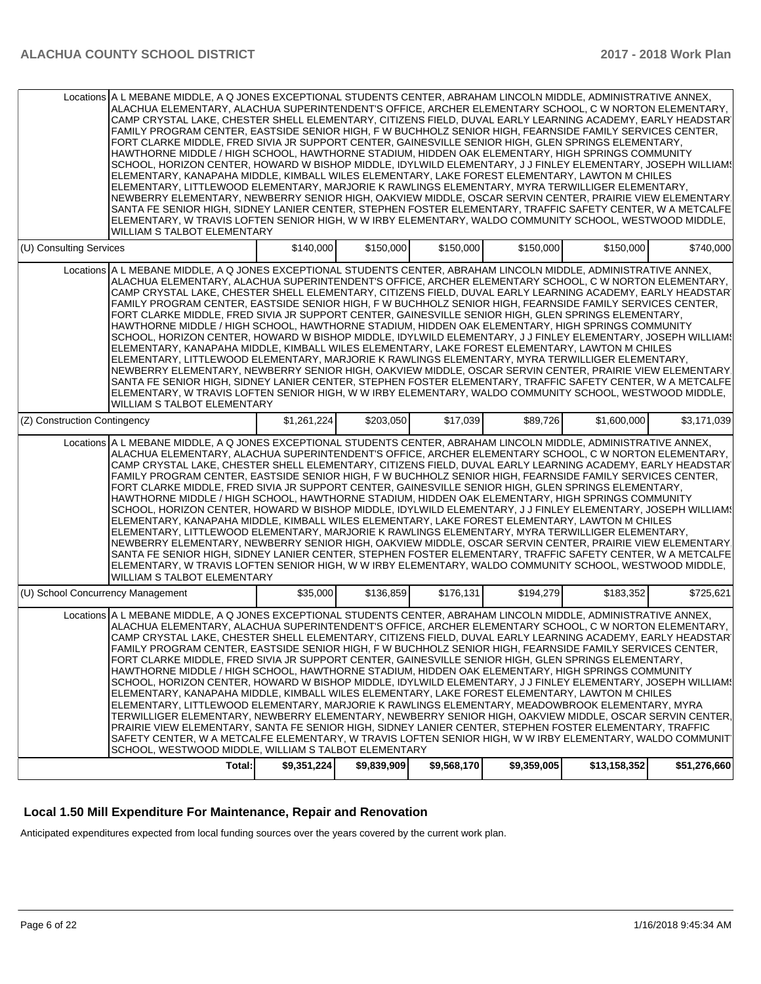| Locations A L MEBANE MIDDLE, A Q JONES EXCEPTIONAL STUDENTS CENTER, ABRAHAM LINCOLN MIDDLE, ADMINISTRATIVE ANNEX,<br>ALACHUA ELEMENTARY, ALACHUA SUPERINTENDENT'S OFFICE, ARCHER ELEMENTARY SCHOOL, C W NORTON ELEMENTARY,<br>CAMP CRYSTAL LAKE, CHESTER SHELL ELEMENTARY, CITIZENS FIELD, DUVAL EARLY LEARNING ACADEMY, EARLY HEADSTAR<br>FAMILY PROGRAM CENTER, EASTSIDE SENIOR HIGH, F W BUCHHOLZ SENIOR HIGH, FEARNSIDE FAMILY SERVICES CENTER,<br>FORT CLARKE MIDDLE, FRED SIVIA JR SUPPORT CENTER, GAINESVILLE SENIOR HIGH, GLEN SPRINGS ELEMENTARY,<br>HAWTHORNE MIDDLE / HIGH SCHOOL, HAWTHORNE STADIUM, HIDDEN OAK ELEMENTARY, HIGH SPRINGS COMMUNITY<br>SCHOOL, HORIZON CENTER, HOWARD W BISHOP MIDDLE, IDYLWILD ELEMENTARY, JJ FINLEY ELEMENTARY, JOSEPH WILLIAM!<br>ELEMENTARY, KANAPAHA MIDDLE, KIMBALL WILES ELEMENTARY, LAKE FOREST ELEMENTARY, LAWTON M CHILES<br>ELEMENTARY, LITTLEWOOD ELEMENTARY, MARJORIE K RAWLINGS ELEMENTARY, MYRA TERWILLIGER ELEMENTARY,<br>NEWBERRY ELEMENTARY, NEWBERRY SENIOR HIGH, OAKVIEW MIDDLE, OSCAR SERVIN CENTER, PRAIRIE VIEW ELEMENTARY,<br>SANTA FE SENIOR HIGH, SIDNEY LANIER CENTER, STEPHEN FOSTER ELEMENTARY, TRAFFIC SAFETY CENTER, W A METCALFE<br>ELEMENTARY, W TRAVIS LOFTEN SENIOR HIGH, W W IRBY ELEMENTARY, WALDO COMMUNITY SCHOOL, WESTWOOD MIDDLE,<br><b>WILLIAM S TALBOT ELEMENTARY</b>                             |             |             |             |             |              |              |
|-----------------------------------------------------------------------------------------------------------------------------------------------------------------------------------------------------------------------------------------------------------------------------------------------------------------------------------------------------------------------------------------------------------------------------------------------------------------------------------------------------------------------------------------------------------------------------------------------------------------------------------------------------------------------------------------------------------------------------------------------------------------------------------------------------------------------------------------------------------------------------------------------------------------------------------------------------------------------------------------------------------------------------------------------------------------------------------------------------------------------------------------------------------------------------------------------------------------------------------------------------------------------------------------------------------------------------------------------------------------------------------------|-------------|-------------|-------------|-------------|--------------|--------------|
| (U) Consulting Services                                                                                                                                                                                                                                                                                                                                                                                                                                                                                                                                                                                                                                                                                                                                                                                                                                                                                                                                                                                                                                                                                                                                                                                                                                                                                                                                                                 | \$140,000   | \$150,000   | \$150,000   | \$150,000   | \$150,000    | \$740,000    |
| Locations A L MEBANE MIDDLE, A Q JONES EXCEPTIONAL STUDENTS CENTER, ABRAHAM LINCOLN MIDDLE, ADMINISTRATIVE ANNEX,<br>ALACHUA ELEMENTARY, ALACHUA SUPERINTENDENT'S OFFICE, ARCHER ELEMENTARY SCHOOL, C W NORTON ELEMENTARY,<br>CAMP CRYSTAL LAKE, CHESTER SHELL ELEMENTARY, CITIZENS FIELD, DUVAL EARLY LEARNING ACADEMY, EARLY HEADSTAR<br>FAMILY PROGRAM CENTER, EASTSIDE SENIOR HIGH, F W BUCHHOLZ SENIOR HIGH, FEARNSIDE FAMILY SERVICES CENTER,<br>FORT CLARKE MIDDLE, FRED SIVIA JR SUPPORT CENTER, GAINESVILLE SENIOR HIGH, GLEN SPRINGS ELEMENTARY,<br>HAWTHORNE MIDDLE / HIGH SCHOOL, HAWTHORNE STADIUM, HIDDEN OAK ELEMENTARY, HIGH SPRINGS COMMUNITY<br>SCHOOL, HORIZON CENTER, HOWARD W BISHOP MIDDLE, IDYLWILD ELEMENTARY, J J FINLEY ELEMENTARY, JOSEPH WILLIAM (<br>ELEMENTARY, KANAPAHA MIDDLE, KIMBALL WILES ELEMENTARY, LAKE FOREST ELEMENTARY, LAWTON M CHILES<br>ELEMENTARY, LITTLEWOOD ELEMENTARY, MARJORIE K RAWLINGS ELEMENTARY, MYRA TERWILLIGER ELEMENTARY.<br>NEWBERRY ELEMENTARY, NEWBERRY SENIOR HIGH, OAKVIEW MIDDLE, OSCAR SERVIN CENTER, PRAIRIE VIEW ELEMENTARY,<br>SANTA FE SENIOR HIGH, SIDNEY LANIER CENTER, STEPHEN FOSTER ELEMENTARY, TRAFFIC SAFETY CENTER, W A METCALFE<br>ELEMENTARY, W TRAVIS LOFTEN SENIOR HIGH, W W IRBY ELEMENTARY, WALDO COMMUNITY SCHOOL, WESTWOOD MIDDLE,<br><b>WILLIAM S TALBOT ELEMENTARY</b>                           |             |             |             |             |              |              |
| (Z) Construction Contingency                                                                                                                                                                                                                                                                                                                                                                                                                                                                                                                                                                                                                                                                                                                                                                                                                                                                                                                                                                                                                                                                                                                                                                                                                                                                                                                                                            | \$1.261.224 | \$203,050   | \$17,039    | \$89,726    | \$1,600,000  | \$3.171.039  |
| Locations A L MEBANE MIDDLE, A Q JONES EXCEPTIONAL STUDENTS CENTER, ABRAHAM LINCOLN MIDDLE, ADMINISTRATIVE ANNEX,<br>ALACHUA ELEMENTARY, ALACHUA SUPERINTENDENT'S OFFICE, ARCHER ELEMENTARY SCHOOL, C W NORTON ELEMENTARY,<br>CAMP CRYSTAL LAKE, CHESTER SHELL ELEMENTARY, CITIZENS FIELD, DUVAL EARLY LEARNING ACADEMY, EARLY HEADSTAR<br>FAMILY PROGRAM CENTER, EASTSIDE SENIOR HIGH, F W BUCHHOLZ SENIOR HIGH, FEARNSIDE FAMILY SERVICES CENTER,<br>FORT CLARKE MIDDLE, FRED SIVIA JR SUPPORT CENTER, GAINESVILLE SENIOR HIGH, GLEN SPRINGS ELEMENTARY,<br>HAWTHORNE MIDDLE / HIGH SCHOOL, HAWTHORNE STADIUM, HIDDEN OAK ELEMENTARY, HIGH SPRINGS COMMUNITY<br>SCHOOL, HORIZON CENTER, HOWARD W BISHOP MIDDLE, IDYLWILD ELEMENTARY, J J FINLEY ELEMENTARY, JOSEPH WILLIAM (<br>ELEMENTARY, KANAPAHA MIDDLE, KIMBALL WILES ELEMENTARY, LAKE FOREST ELEMENTARY, LAWTON M CHILES<br>ELEMENTARY, LITTLEWOOD ELEMENTARY, MARJORIE K RAWLINGS ELEMENTARY, MYRA TERWILLIGER ELEMENTARY,<br>NEWBERRY ELEMENTARY, NEWBERRY SENIOR HIGH, OAKVIEW MIDDLE, OSCAR SERVIN CENTER, PRAIRIE VIEW ELEMENTARY,<br>SANTA FE SENIOR HIGH, SIDNEY LANIER CENTER, STEPHEN FOSTER ELEMENTARY, TRAFFIC SAFETY CENTER, W A METCALFE<br>ELEMENTARY, W TRAVIS LOFTEN SENIOR HIGH, W W IRBY ELEMENTARY, WALDO COMMUNITY SCHOOL, WESTWOOD MIDDLE,<br>WILLIAM S TALBOT ELEMENTARY                                  |             |             |             |             |              |              |
| (U) School Concurrency Management                                                                                                                                                                                                                                                                                                                                                                                                                                                                                                                                                                                                                                                                                                                                                                                                                                                                                                                                                                                                                                                                                                                                                                                                                                                                                                                                                       | \$35,000    | \$136,859   | \$176,131   | \$194,279   | \$183,352    | \$725,621    |
| Locations A L MEBANE MIDDLE, A Q JONES EXCEPTIONAL STUDENTS CENTER, ABRAHAM LINCOLN MIDDLE, ADMINISTRATIVE ANNEX,<br>ALACHUA ELEMENTARY, ALACHUA SUPERINTENDENT'S OFFICE, ARCHER ELEMENTARY SCHOOL, C W NORTON ELEMENTARY,<br>CAMP CRYSTAL LAKE, CHESTER SHELL ELEMENTARY, CITIZENS FIELD, DUVAL EARLY LEARNING ACADEMY, EARLY HEADSTAR<br>FAMILY PROGRAM CENTER. EASTSIDE SENIOR HIGH. F W BUCHHOLZ SENIOR HIGH. FEARNSIDE FAMILY SERVICES CENTER.<br>FORT CLARKE MIDDLE, FRED SIVIA JR SUPPORT CENTER, GAINESVILLE SENIOR HIGH, GLEN SPRINGS ELEMENTARY,<br>HAWTHORNE MIDDLE / HIGH SCHOOL, HAWTHORNE STADIUM, HIDDEN OAK ELEMENTARY, HIGH SPRINGS COMMUNITY<br>SCHOOL, HORIZON CENTER, HOWARD W BISHOP MIDDLE, IDYLWILD ELEMENTARY, J J FINLEY ELEMENTARY, JOSEPH WILLIAM (<br>ELEMENTARY, KANAPAHA MIDDLE, KIMBALL WILES ELEMENTARY, LAKE FOREST ELEMENTARY, LAWTON M CHILES<br>ELEMENTARY, LITTLEWOOD ELEMENTARY, MARJORIE K RAWLINGS ELEMENTARY, MEADOWBROOK ELEMENTARY, MYRA<br>TERWILLIGER ELEMENTARY, NEWBERRY ELEMENTARY, NEWBERRY SENIOR HIGH, OAKVIEW MIDDLE, OSCAR SERVIN CENTER,<br>PRAIRIE VIEW ELEMENTARY, SANTA FE SENIOR HIGH, SIDNEY LANIER CENTER, STEPHEN FOSTER ELEMENTARY, TRAFFIC<br>SAFETY CENTER, W A METCALFE ELEMENTARY, W TRAVIS LOFTEN SENIOR HIGH, W W IRBY ELEMENTARY, WALDO COMMUNIT<br>SCHOOL, WESTWOOD MIDDLE, WILLIAM S TALBOT ELEMENTARY<br>Total: | \$9,351,224 | \$9,839,909 | \$9,568,170 | \$9,359,005 | \$13,158,352 | \$51,276,660 |

## **Local 1.50 Mill Expenditure For Maintenance, Repair and Renovation**

Anticipated expenditures expected from local funding sources over the years covered by the current work plan.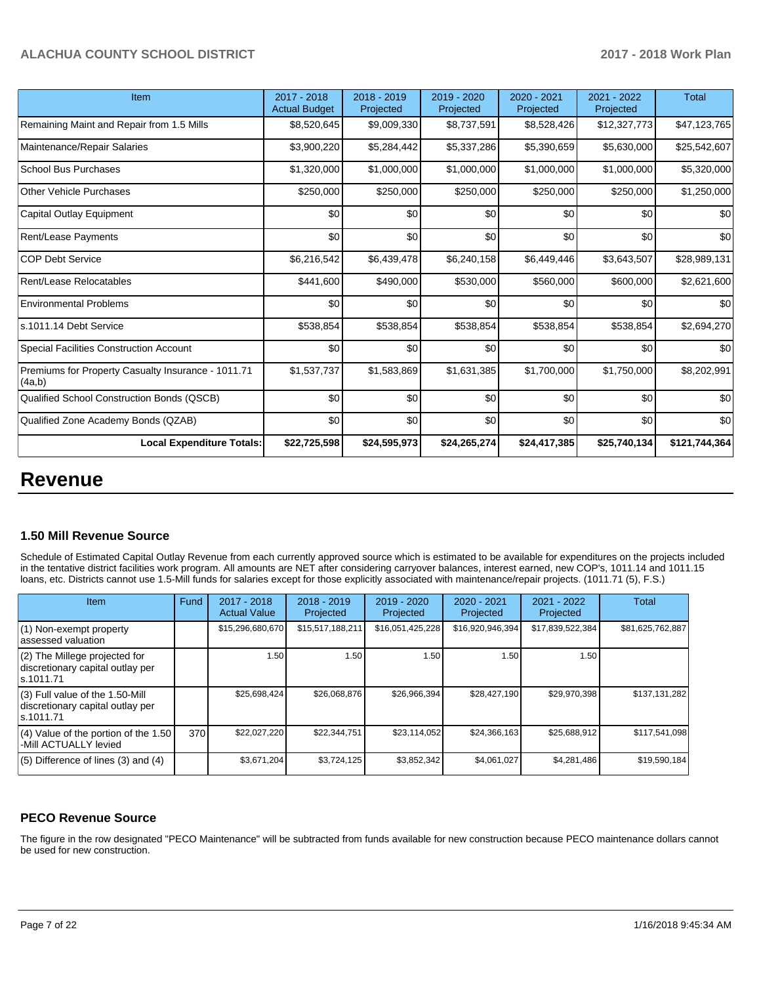| Item                                                         | 2017 - 2018<br><b>Actual Budget</b> | 2018 - 2019<br>Projected | 2019 - 2020<br>Projected | 2020 - 2021<br>Projected | 2021 - 2022<br>Projected | <b>Total</b>  |
|--------------------------------------------------------------|-------------------------------------|--------------------------|--------------------------|--------------------------|--------------------------|---------------|
| Remaining Maint and Repair from 1.5 Mills                    | \$8,520,645                         | \$9,009,330              | \$8,737,591              | \$8,528,426              | \$12,327,773             | \$47,123,765  |
| Maintenance/Repair Salaries                                  | \$3,900,220                         | \$5,284,442              | \$5,337,286              | \$5,390,659              | \$5,630,000              | \$25,542,607  |
| School Bus Purchases                                         | \$1,320,000                         | \$1,000,000              | \$1,000,000              | \$1,000,000              | \$1,000,000              | \$5,320,000   |
| Other Vehicle Purchases                                      | \$250,000                           | \$250,000                | \$250,000                | \$250,000                | \$250,000                | \$1,250,000   |
| Capital Outlay Equipment                                     | \$0                                 | \$0                      | \$0                      | \$0                      | \$0                      | \$0           |
| Rent/Lease Payments                                          | \$0                                 | \$0                      | \$0                      | \$0                      | \$0                      | \$0           |
| <b>COP Debt Service</b>                                      | \$6,216,542                         | \$6,439,478              | \$6,240,158              | \$6,449,446              | \$3,643,507              | \$28,989,131  |
| Rent/Lease Relocatables                                      | \$441,600                           | \$490,000                | \$530,000                | \$560,000                | \$600,000                | \$2,621,600   |
| <b>Environmental Problems</b>                                | \$0                                 | \$0                      | \$0                      | \$0                      | \$0                      | \$0           |
| ls.1011.14 Debt Service                                      | \$538,854                           | \$538,854                | \$538,854                | \$538,854                | \$538,854                | \$2,694,270   |
| Special Facilities Construction Account                      | \$0                                 | \$0                      | \$0                      | \$0                      | \$0                      | \$0           |
| Premiums for Property Casualty Insurance - 1011.71<br>(4a,b) | \$1,537,737                         | \$1,583,869              | \$1,631,385              | \$1,700,000              | \$1,750,000              | \$8,202,991   |
| Qualified School Construction Bonds (QSCB)                   | \$0                                 | \$0                      | \$0                      | \$0                      | \$0                      | \$0           |
| Qualified Zone Academy Bonds (QZAB)                          | \$0                                 | \$0                      | \$0                      | \$0                      | \$0                      | \$0           |
| <b>Local Expenditure Totals:</b>                             | \$22,725,598                        | \$24,595,973             | \$24,265,274             | \$24,417,385             | \$25,740,134             | \$121,744,364 |

## **Revenue**

#### **1.50 Mill Revenue Source**

Schedule of Estimated Capital Outlay Revenue from each currently approved source which is estimated to be available for expenditures on the projects included in the tentative district facilities work program. All amounts are NET after considering carryover balances, interest earned, new COP's, 1011.14 and 1011.15 loans, etc. Districts cannot use 1.5-Mill funds for salaries except for those explicitly associated with maintenance/repair projects. (1011.71 (5), F.S.)

| <b>Item</b>                                                                         | Fund | $2017 - 2018$<br><b>Actual Value</b> | $2018 - 2019$<br>Projected | $2019 - 2020$<br>Projected | $2020 - 2021$<br>Projected | $2021 - 2022$<br>Projected | <b>Total</b>     |
|-------------------------------------------------------------------------------------|------|--------------------------------------|----------------------------|----------------------------|----------------------------|----------------------------|------------------|
| (1) Non-exempt property<br>lassessed valuation                                      |      | \$15,296,680,670                     | \$15,517,188,211           | \$16,051,425,228           | \$16,920,946,394           | \$17,839,522,384           | \$81,625,762,887 |
| $(2)$ The Millege projected for<br>discretionary capital outlay per<br>ls.1011.71   |      | 1.50                                 | 1.50 l                     | 1.50                       | 1.50                       | 1.50                       |                  |
| $(3)$ Full value of the 1.50-Mill<br>discretionary capital outlay per<br>ls.1011.71 |      | \$25,698,424                         | \$26.068.876               | \$26,966,394               | \$28,427,190               | \$29.970.398               | \$137.131.282    |
| $(4)$ Value of the portion of the 1.50<br>-Mill ACTUALLY levied                     | 370  | \$22,027,220                         | \$22,344,751               | \$23,114,052               | \$24,366,163               | \$25,688,912               | \$117,541,098    |
| $(5)$ Difference of lines $(3)$ and $(4)$                                           |      | \$3,671,204                          | \$3,724,125                | \$3,852,342                | \$4,061,027                | \$4,281,486                | \$19,590,184     |

## **PECO Revenue Source**

The figure in the row designated "PECO Maintenance" will be subtracted from funds available for new construction because PECO maintenance dollars cannot be used for new construction.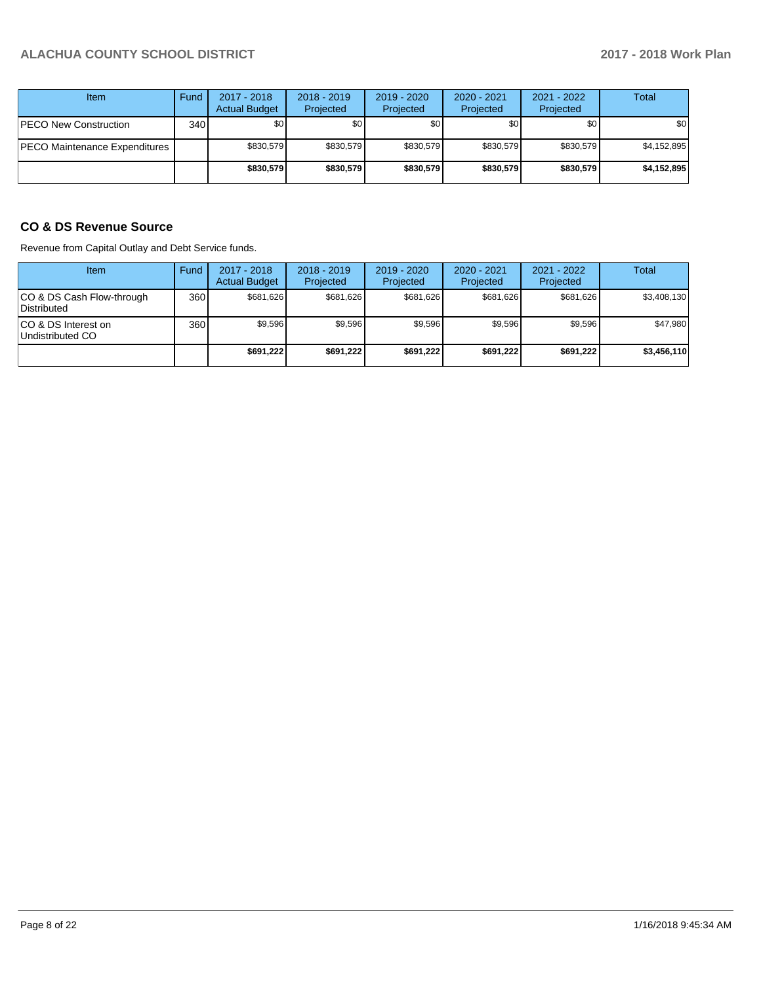| Item                          | Fund         | $2017 - 2018$<br><b>Actual Budget</b> | $2018 - 2019$<br>Projected | $2019 - 2020$<br>Projected | $2020 - 2021$<br>Projected | 2021 - 2022<br>Projected | <b>Total</b> |
|-------------------------------|--------------|---------------------------------------|----------------------------|----------------------------|----------------------------|--------------------------|--------------|
| <b>PECO New Construction</b>  | 340 <b>I</b> | ا 30                                  | \$0                        | \$0                        | \$0                        | \$0                      | \$0          |
| PECO Maintenance Expenditures |              | \$830.579                             | \$830.579                  | \$830.579                  | \$830.579                  | \$830.579                | \$4,152,895  |
|                               |              | \$830,579                             | \$830.579                  | \$830.579                  | \$830.579                  | \$830,579                | \$4,152,895  |

## **CO & DS Revenue Source**

Revenue from Capital Outlay and Debt Service funds.

| Item                                      | Fund | $2017 - 2018$<br><b>Actual Budget</b> | $2018 - 2019$<br>Projected | $2019 - 2020$<br>Projected | $2020 - 2021$<br>Projected | $2021 - 2022$<br>Projected | Total       |
|-------------------------------------------|------|---------------------------------------|----------------------------|----------------------------|----------------------------|----------------------------|-------------|
| ICO & DS Cash Flow-through<br>Distributed | 360  | \$681.626                             | \$681.626                  | \$681.626                  | \$681.626                  | \$681.626                  | \$3,408,130 |
| ICO & DS Interest on<br>Undistributed CO  | 360  | \$9.596                               | \$9,596                    | \$9,596                    | \$9.596                    | \$9,596                    | \$47,980    |
|                                           |      | \$691,222                             | \$691,222                  | \$691.222                  | \$691.222                  | \$691.222                  | \$3,456,110 |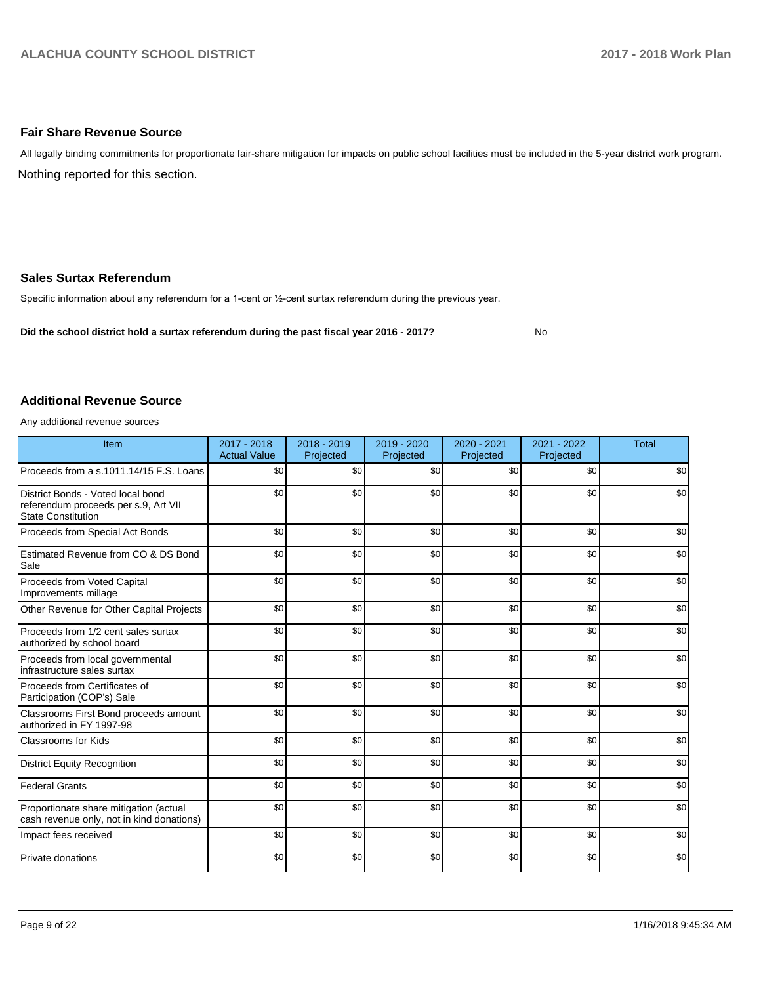#### **Fair Share Revenue Source**

Nothing reported for this section. All legally binding commitments for proportionate fair-share mitigation for impacts on public school facilities must be included in the 5-year district work program.

#### **Sales Surtax Referendum**

Specific information about any referendum for a 1-cent or 1/2-cent surtax referendum during the previous year.

**Did the school district hold a surtax referendum during the past fiscal year 2016 - 2017?**

No

#### **Additional Revenue Source**

Any additional revenue sources

| Item                                                                                                   | 2017 - 2018<br><b>Actual Value</b> | $2018 - 2019$<br>Projected | 2019 - 2020<br>Projected | $2020 - 2021$<br>Projected | 2021 - 2022<br>Projected | <b>Total</b> |
|--------------------------------------------------------------------------------------------------------|------------------------------------|----------------------------|--------------------------|----------------------------|--------------------------|--------------|
| Proceeds from a s.1011.14/15 F.S. Loans                                                                | \$0                                | \$0                        | \$0                      | \$0                        | \$0                      | \$0          |
| District Bonds - Voted local bond<br>referendum proceeds per s.9, Art VII<br><b>State Constitution</b> | \$0                                | \$0                        | \$0                      | \$0                        | \$0                      | \$0          |
| Proceeds from Special Act Bonds                                                                        | \$0                                | \$0                        | \$0                      | \$0                        | \$0                      | \$0          |
| Estimated Revenue from CO & DS Bond<br>Sale                                                            | \$0                                | \$0                        | \$0                      | \$0                        | \$0                      | \$0          |
| Proceeds from Voted Capital<br>Improvements millage                                                    | \$0                                | \$0                        | \$0                      | \$0                        | \$0                      | \$0          |
| Other Revenue for Other Capital Projects                                                               | \$0                                | \$0                        | \$0                      | \$0                        | \$0                      | \$0          |
| Proceeds from 1/2 cent sales surtax<br>authorized by school board                                      | \$0                                | \$0                        | \$0                      | \$0                        | \$0                      | \$0          |
| Proceeds from local governmental<br>infrastructure sales surtax                                        | \$0                                | \$0                        | \$0                      | \$0                        | \$0                      | \$0          |
| Proceeds from Certificates of<br>Participation (COP's) Sale                                            | \$0                                | \$0                        | \$0                      | \$0                        | \$0                      | \$0          |
| Classrooms First Bond proceeds amount<br>authorized in FY 1997-98                                      | \$0                                | \$0                        | \$0                      | \$0                        | \$0                      | \$0          |
| <b>Classrooms for Kids</b>                                                                             | \$0                                | \$0                        | \$0                      | \$0                        | \$0                      | \$0          |
| <b>District Equity Recognition</b>                                                                     | \$0                                | \$0                        | \$0                      | \$0                        | \$0                      | \$0          |
| <b>Federal Grants</b>                                                                                  | \$0                                | \$0                        | \$0                      | \$0                        | \$0                      | \$0          |
| Proportionate share mitigation (actual<br>cash revenue only, not in kind donations)                    | \$0                                | \$0                        | \$0                      | \$0                        | \$0                      | \$0          |
| Impact fees received                                                                                   | \$0                                | \$0                        | \$0                      | \$0                        | \$0                      | \$0          |
| Private donations                                                                                      | \$0                                | \$0                        | \$0                      | \$0                        | \$0                      | \$0          |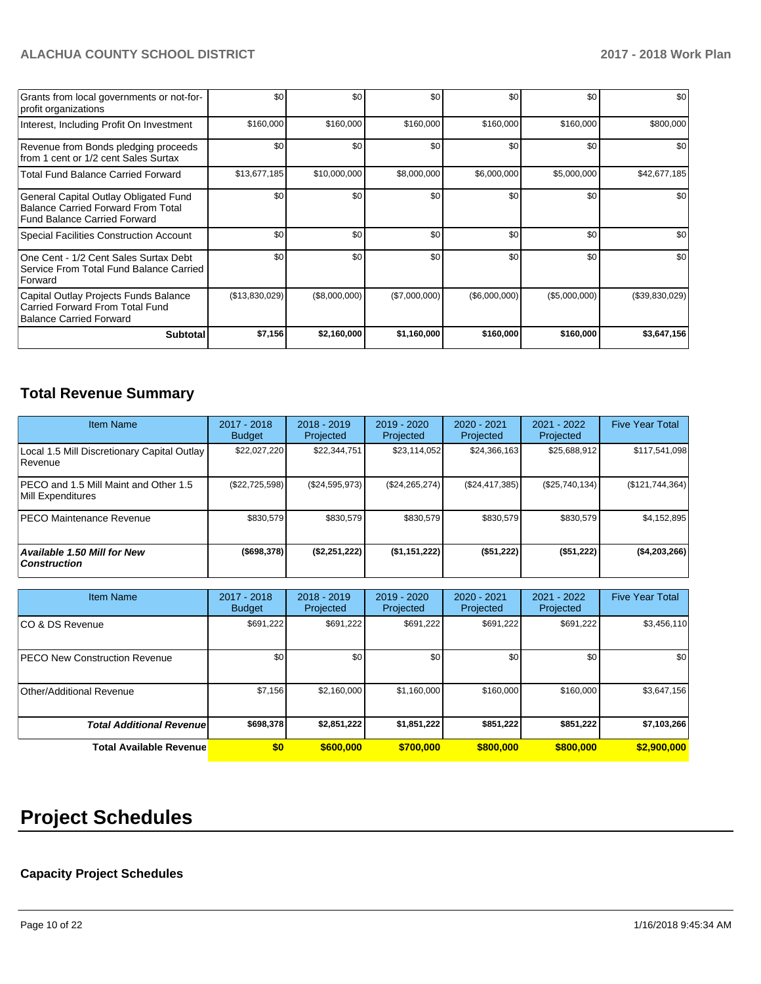| Grants from local governments or not-for-<br>profit organizations                                                         | \$0            | \$0 <sub>1</sub> | \$0           | \$0           | \$0           | \$0            |
|---------------------------------------------------------------------------------------------------------------------------|----------------|------------------|---------------|---------------|---------------|----------------|
| Interest, Including Profit On Investment                                                                                  | \$160,000      | \$160,000        | \$160,000     | \$160,000     | \$160,000     | \$800,000      |
| Revenue from Bonds pledging proceeds<br>from 1 cent or 1/2 cent Sales Surtax                                              | \$0            | \$0 <sub>1</sub> | \$0           | \$0           | \$0           | \$0            |
| <b>Total Fund Balance Carried Forward</b>                                                                                 | \$13,677,185   | \$10,000,000     | \$8,000,000   | \$6,000,000   | \$5,000,000   | \$42,677,185   |
| General Capital Outlay Obligated Fund<br><b>Balance Carried Forward From Total</b><br><b>Fund Balance Carried Forward</b> | \$0            | \$0              | \$0           | \$0           | \$0           | \$0            |
| <b>Special Facilities Construction Account</b>                                                                            | \$0            | \$0 <sub>1</sub> | \$0           | \$0           | \$0           | \$0            |
| One Cent - 1/2 Cent Sales Surtax Debt<br>Service From Total Fund Balance Carried<br>Forward                               | \$0            | \$0 <sub>1</sub> | \$0           | \$0           | \$0           | \$0            |
| Capital Outlay Projects Funds Balance<br>Carried Forward From Total Fund<br><b>Balance Carried Forward</b>                | (\$13,830,029) | (\$8,000,000)    | (\$7,000,000) | (\$6,000,000) | (\$5,000,000) | (\$39,830,029) |
| <b>Subtotal</b>                                                                                                           | \$7,156        | \$2,160,000      | \$1,160,000   | \$160,000     | \$160,000     | \$3,647,156    |

## **Total Revenue Summary**

| <b>Item Name</b>                                           | 2017 - 2018<br><b>Budget</b> | $2018 - 2019$<br>Projected | 2019 - 2020<br>Projected | 2020 - 2021<br>Projected | 2021 - 2022<br>Projected | <b>Five Year Total</b> |
|------------------------------------------------------------|------------------------------|----------------------------|--------------------------|--------------------------|--------------------------|------------------------|
| Local 1.5 Mill Discretionary Capital Outlay<br>Revenue     | \$22,027,220                 | \$22,344,751               | \$23,114,052             | \$24,366,163             | \$25,688,912             | \$117,541,098          |
| PECO and 1.5 Mill Maint and Other 1.5<br>Mill Expenditures | (\$22,725,598)               | (\$24,595,973)             | (\$24, 265, 274)         | (S24, 417, 385)          | (\$25,740,134)           | (\$121, 744, 364)      |
| <b>PECO Maintenance Revenue</b>                            | \$830.579                    | \$830,579                  | \$830.579                | \$830.579                | \$830,579                | \$4,152,895            |
| Available 1.50 Mill for New<br><b>Construction</b>         | $($ \$698,378)               | (\$2,251,222)              | (\$1,151,222)            | (\$51,222)               | (\$51,222)               | (\$4,203,266)          |

| <b>Item Name</b>                     | 2017 - 2018<br><b>Budget</b> | $2018 - 2019$<br>Projected | $2019 - 2020$<br>Projected | 2020 - 2021<br>Projected | 2021 - 2022<br>Projected | <b>Five Year Total</b> |
|--------------------------------------|------------------------------|----------------------------|----------------------------|--------------------------|--------------------------|------------------------|
| ICO & DS Revenue                     | \$691,222                    | \$691,222                  | \$691.222                  | \$691,222                | \$691,222                | \$3,456,110            |
| <b>PECO New Construction Revenue</b> | \$0                          | \$0                        | \$0                        | \$0                      | \$0                      | \$0                    |
| Other/Additional Revenue             | \$7,156                      | \$2,160,000                | \$1,160,000                | \$160,000                | \$160,000                | \$3,647,156            |
| <b>Total Additional Revenue</b>      | \$698,378                    | \$2,851,222                | \$1,851,222                | \$851,222                | \$851,222                | \$7,103,266            |
| <b>Total Available Revenue</b>       | \$0                          | \$600,000                  | \$700,000                  | \$800,000                | \$800,000                | \$2,900,000            |

# **Project Schedules**

## **Capacity Project Schedules**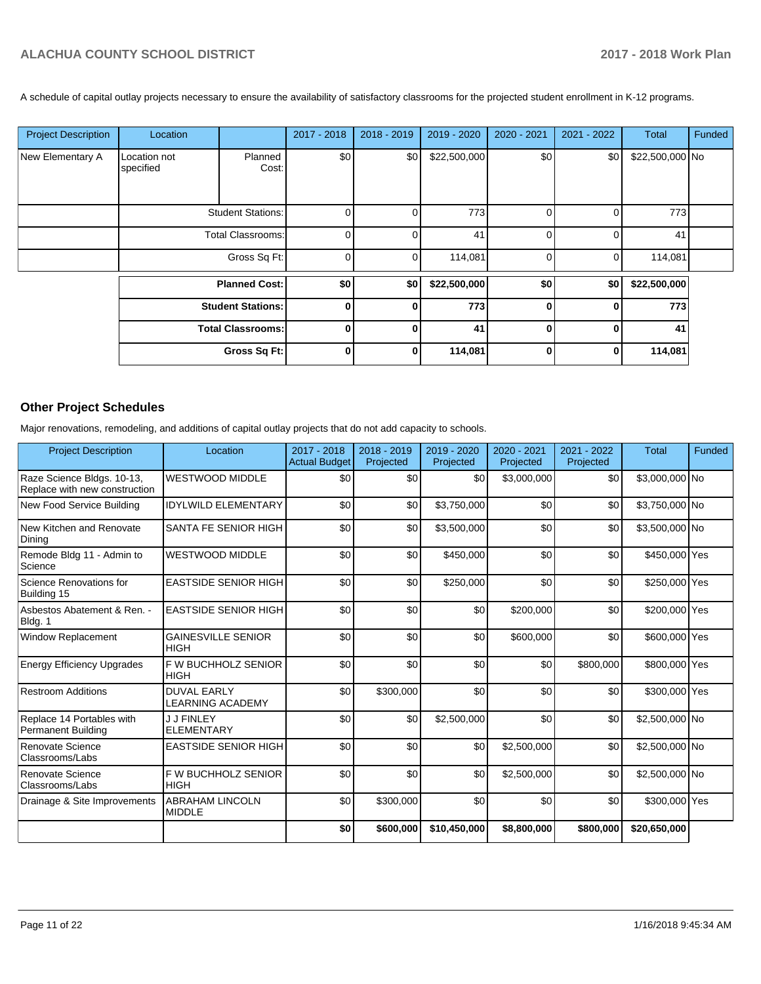A schedule of capital outlay projects necessary to ensure the availability of satisfactory classrooms for the projected student enrollment in K-12 programs.

| <b>Project Description</b> | Location                  |                          | 2017 - 2018    | $2018 - 2019$ | 2019 - 2020  | 2020 - 2021 | 2021 - 2022 | Total           | Funded |
|----------------------------|---------------------------|--------------------------|----------------|---------------|--------------|-------------|-------------|-----------------|--------|
| New Elementary A           | Location not<br>specified | Planned<br>Cost:         | \$0            | \$0           | \$22,500,000 | \$0         | \$0         | \$22,500,000 No |        |
|                            |                           | <b>Student Stations:</b> | $\overline{0}$ |               | 773          | 0           | 0           | 773             |        |
|                            |                           | <b>Total Classrooms:</b> | $\Omega$       |               | 41           | 0           | $\Omega$    | 41              |        |
|                            |                           | Gross Sq Ft:             | $\overline{0}$ |               | 114,081      | 0           | 0           | 114,081         |        |
|                            |                           | <b>Planned Cost:</b>     | \$0            | \$0           | \$22,500,000 | \$0         | \$0         | \$22,500,000    |        |
|                            |                           | <b>Student Stations:</b> | 0              |               | 773          | $\bf{0}$    | 0           | 773             |        |
|                            |                           | <b>Total Classrooms:</b> | $\bf{0}$       |               | 41           | $\bf{0}$    | $\bf{0}$    | 41              |        |
|                            |                           | Gross Sq Ft:             | $\mathbf{0}$   |               | 114,081      | $\bf{0}$    | 0           | 114,081         |        |
|                            |                           |                          |                |               |              |             |             |                 |        |

## **Other Project Schedules**

Major renovations, remodeling, and additions of capital outlay projects that do not add capacity to schools.

| <b>Project Description</b>                                  | Location                                      | 2017 - 2018<br><b>Actual Budget</b> | 2018 - 2019<br>Projected | 2019 - 2020<br>Projected | $2020 - 2021$<br>Projected | 2021 - 2022<br>Projected | <b>Total</b>   | Funded |
|-------------------------------------------------------------|-----------------------------------------------|-------------------------------------|--------------------------|--------------------------|----------------------------|--------------------------|----------------|--------|
| Raze Science Bldgs. 10-13,<br>Replace with new construction | <b>WESTWOOD MIDDLE</b>                        | \$0                                 | \$0                      | \$0                      | \$3,000,000                | \$0                      | \$3,000,000 No |        |
| New Food Service Building                                   | <b>IDYLWILD ELEMENTARY</b>                    | \$0                                 | \$0                      | \$3,750,000              | \$0                        | \$0                      | \$3,750,000 No |        |
| New Kitchen and Renovate<br>Dining                          | SANTA FE SENIOR HIGH                          | \$0                                 | \$0                      | \$3,500,000              | \$0                        | \$0                      | \$3,500,000 No |        |
| Remode Bldg 11 - Admin to<br>Science                        | <b>WESTWOOD MIDDLE</b>                        | \$0                                 | \$0                      | \$450,000                | \$0                        | \$0                      | \$450,000 Yes  |        |
| Science Renovations for<br>Building 15                      | <b>EASTSIDE SENIOR HIGH</b>                   | \$0                                 | \$0                      | \$250,000                | \$0                        | \$0                      | \$250,000 Yes  |        |
| Asbestos Abatement & Ren. -<br>Bldg. 1                      | <b>EASTSIDE SENIOR HIGH</b>                   | \$0                                 | \$0                      | \$0                      | \$200,000                  | \$0                      | \$200,000 Yes  |        |
| <b>Window Replacement</b>                                   | <b>GAINESVILLE SENIOR</b><br><b>HIGH</b>      | \$0                                 | \$0                      | \$0                      | \$600,000                  | \$0                      | \$600,000 Yes  |        |
| <b>Energy Efficiency Upgrades</b>                           | F W BUCHHOLZ SENIOR<br><b>HIGH</b>            | \$0                                 | \$0                      | \$0                      | \$0                        | \$800,000                | \$800,000 Yes  |        |
| <b>Restroom Additions</b>                                   | <b>DUVAL EARLY</b><br><b>LEARNING ACADEMY</b> | \$0                                 | \$300,000                | \$0                      | \$0                        | \$0                      | \$300,000 Yes  |        |
| Replace 14 Portables with<br><b>Permanent Building</b>      | <b>J J FINLEY</b><br><b>ELEMENTARY</b>        | \$0                                 | \$0                      | \$2,500,000              | \$0                        | \$0                      | \$2,500,000 No |        |
| Renovate Science<br>Classrooms/Labs                         | <b>EASTSIDE SENIOR HIGH</b>                   | \$0                                 | \$0                      | \$0                      | \$2,500,000                | \$0                      | \$2,500,000 No |        |
| Renovate Science<br>Classrooms/Labs                         | F W BUCHHOLZ SENIOR<br><b>HIGH</b>            | \$0                                 | \$0                      | \$0                      | \$2,500,000                | \$0                      | \$2,500,000 No |        |
| Drainage & Site Improvements                                | <b>ABRAHAM LINCOLN</b><br><b>MIDDLE</b>       | \$0                                 | \$300,000                | \$0                      | \$0                        | \$0                      | \$300,000 Yes  |        |
|                                                             |                                               | \$0                                 | \$600,000                | \$10,450,000             | \$8,800,000                | \$800,000                | \$20,650,000   |        |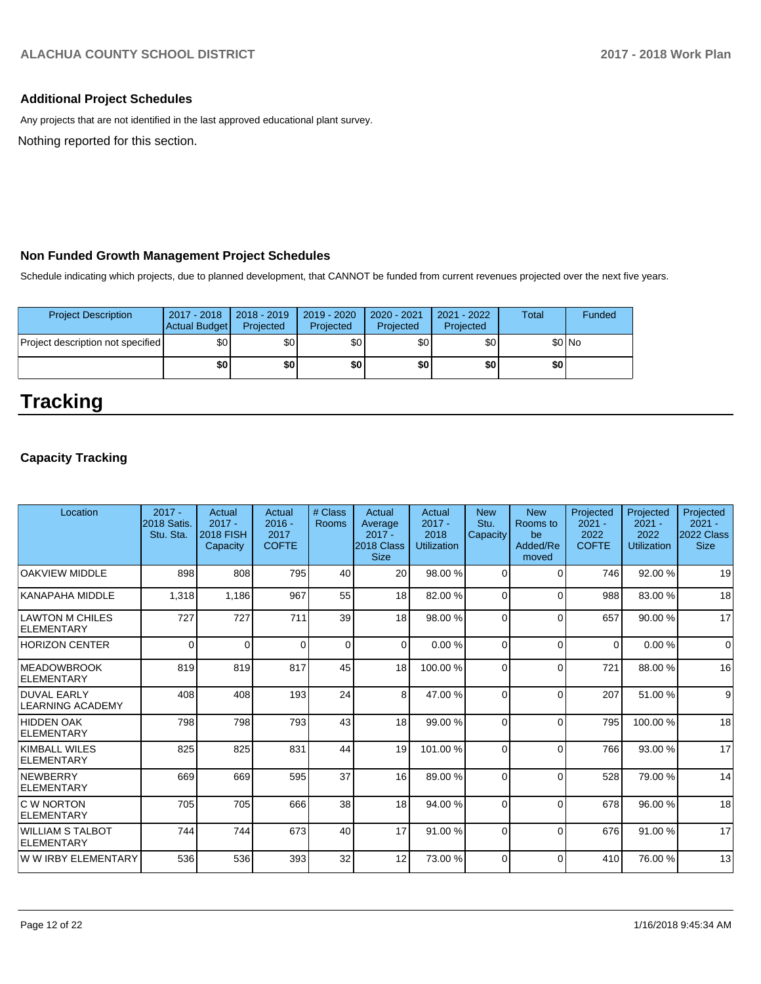## **Additional Project Schedules**

Any projects that are not identified in the last approved educational plant survey.

Nothing reported for this section.

## **Non Funded Growth Management Project Schedules**

Schedule indicating which projects, due to planned development, that CANNOT be funded from current revenues projected over the next five years.

| <b>Project Description</b>        | 2017 - 2018<br><b>Actual Budget</b> | $2018 - 2019$<br>Projected | $2019 - 2020$<br>Projected | 2020 - 2021<br>Projected | 2021 - 2022<br>Projected | Total   | Funded |
|-----------------------------------|-------------------------------------|----------------------------|----------------------------|--------------------------|--------------------------|---------|--------|
| Project description not specified | \$0 <sub>1</sub>                    | \$0 <sub>1</sub>           | \$0                        | \$0 <sub>1</sub>         | \$0                      | $$0$ No |        |
|                                   | \$0                                 | \$0                        | \$0                        | \$0                      | \$0                      | \$0     |        |

# **Tracking**

## **Capacity Tracking**

| Location                               | $2017 -$<br><b>2018 Satis.</b><br>Stu. Sta. | Actual<br>$2017 -$<br><b>2018 FISH</b><br>Capacity | Actual<br>$2016 -$<br>2017<br><b>COFTE</b> | # Class<br><b>Rooms</b> | Actual<br>Average<br>$2017 -$<br>2018 Class<br><b>Size</b> | Actual<br>$2017 -$<br>2018<br><b>Utilization</b> | <b>New</b><br>Stu.<br>Capacity | <b>New</b><br>Rooms to<br>be<br>Added/Re<br>moved | Projected<br>$2021 -$<br>2022<br><b>COFTE</b> | Projected<br>$2021 -$<br>2022<br><b>Utilization</b> | Projected<br>$2021 -$<br>2022 Class<br><b>Size</b> |
|----------------------------------------|---------------------------------------------|----------------------------------------------------|--------------------------------------------|-------------------------|------------------------------------------------------------|--------------------------------------------------|--------------------------------|---------------------------------------------------|-----------------------------------------------|-----------------------------------------------------|----------------------------------------------------|
| <b>OAKVIEW MIDDLE</b>                  | 898                                         | 808                                                | 795                                        | 40                      | 20                                                         | 98.00 %                                          | $\Omega$                       | $\Omega$                                          | 746                                           | 92.00 %                                             | 19                                                 |
| KANAPAHA MIDDLE                        | 1,318                                       | 1,186                                              | 967                                        | 55                      | 18                                                         | 82.00%                                           | $\Omega$                       | $\Omega$                                          | 988                                           | 83.00 %                                             | 18                                                 |
| LAWTON M CHILES<br>ELEMENTARY          | 727                                         | 727                                                | 711                                        | 39                      | 18                                                         | 98.00 %                                          | $\Omega$                       | $\Omega$                                          | 657                                           | 90.00 %                                             | 17                                                 |
| <b>HORIZON CENTER</b>                  | $\Omega$                                    | $\Omega$                                           | $\Omega$                                   | $\mathbf 0$             | $\Omega$                                                   | 0.00%                                            | $\Omega$                       | $\Omega$                                          | $\Omega$                                      | 0.00%                                               | $\Omega$                                           |
| <b>IMEADOWBROOK</b><br>ELEMENTARY      | 819                                         | 819                                                | 817                                        | 45                      | 18                                                         | 100.00%                                          | 0                              | $\Omega$                                          | 721                                           | 88.00 %                                             | 16                                                 |
| DUVAL EARLY<br><b>LEARNING ACADEMY</b> | 408                                         | 408                                                | 193                                        | 24                      | 8                                                          | 47.00 %                                          | $\Omega$                       | $\Omega$                                          | 207                                           | 51.00 %                                             | 9                                                  |
| <b>HIDDEN OAK</b><br><b>ELEMENTARY</b> | 798                                         | 798                                                | 793                                        | 43                      | 18                                                         | 99.00 %                                          | 0                              | $\Omega$                                          | 795                                           | 100.00%                                             | 18                                                 |
| KIMBALL WILES<br>ELEMENTARY            | 825                                         | 825                                                | 831                                        | 44                      | 19                                                         | 101.00%                                          | $\Omega$                       | $\Omega$                                          | 766                                           | 93.00 %                                             | 17                                                 |
| NEWBERRY<br>ELEMENTARY                 | 669                                         | 669                                                | 595                                        | 37                      | 16                                                         | 89.00 %                                          | 0                              | $\Omega$                                          | 528                                           | 79.00 %                                             | 14                                                 |
| <b>IC W NORTON</b><br>ELEMENTARY       | 705                                         | 705                                                | 666                                        | 38                      | 18                                                         | 94.00 %                                          | $\Omega$                       | $\Omega$                                          | 678                                           | 96.00 %                                             | 18                                                 |
| WILLIAM S TALBOT!<br>ELEMENTARY        | 744                                         | 744                                                | 673                                        | 40                      | 17                                                         | 91.00 %                                          | 0                              | $\Omega$                                          | 676                                           | 91.00 %                                             | 17                                                 |
| W W IRBY ELEMENTARY                    | 536                                         | 536                                                | 393                                        | 32                      | 12                                                         | 73.00 %                                          | $\Omega$                       | $\Omega$                                          | 410                                           | 76.00 %                                             | 13                                                 |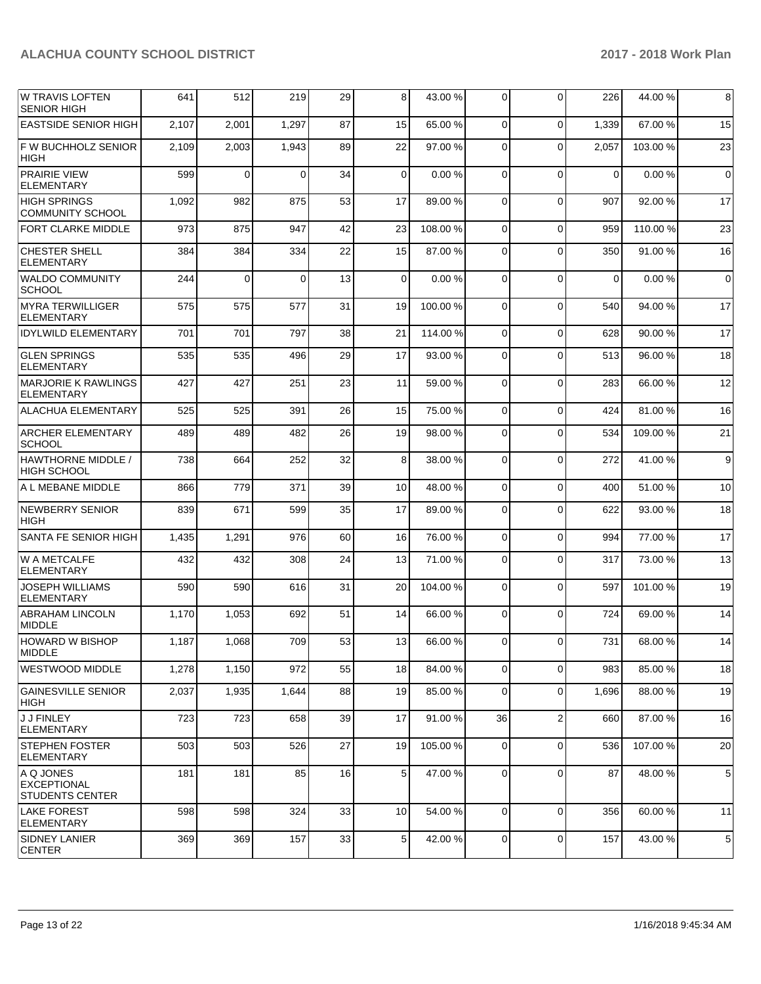| <b>W TRAVIS LOFTEN</b><br><b>SENIOR HIGH</b>              | 641   | 512            | 219      | 29 | 8               | 43.00 %  | 0              | $\Omega$       | 226      | 44.00 %  | 8           |
|-----------------------------------------------------------|-------|----------------|----------|----|-----------------|----------|----------------|----------------|----------|----------|-------------|
| <b>EASTSIDE SENIOR HIGH</b>                               | 2,107 | 2,001          | 1,297    | 87 | 15              | 65.00 %  | $\Omega$       | $\Omega$       | 1,339    | 67.00 %  | 15          |
| F W BUCHHOLZ SENIOR<br><b>HIGH</b>                        | 2,109 | 2,003          | 1,943    | 89 | 22              | 97.00 %  | $\Omega$       | $\Omega$       | 2,057    | 103.00 % | 23          |
| <b>PRAIRIE VIEW</b><br>ELEMENTARY                         | 599   | $\overline{0}$ | $\Omega$ | 34 | $\overline{0}$  | 0.00%    | 0              | $\Omega$       | $\Omega$ | 0.00%    | $\mathbf 0$ |
| <b>HIGH SPRINGS</b><br><b>COMMUNITY SCHOOL</b>            | 1,092 | 982            | 875      | 53 | 17              | 89.00 %  | $\Omega$       | $\Omega$       | 907      | 92.00 %  | 17          |
| <b>FORT CLARKE MIDDLE</b>                                 | 973   | 875            | 947      | 42 | 23              | 108.00%  | 0              | $\Omega$       | 959      | 110.00%  | 23          |
| <b>CHESTER SHELL</b><br><b>ELEMENTARY</b>                 | 384   | 384            | 334      | 22 | 15              | 87.00 %  | $\Omega$       | $\Omega$       | 350      | 91.00 %  | 16          |
| <b>WALDO COMMUNITY</b><br><b>SCHOOL</b>                   | 244   | $\overline{0}$ | $\Omega$ | 13 | $\overline{0}$  | 0.00%    | $\Omega$       | $\Omega$       | $\Omega$ | 0.00%    | $\mathbf 0$ |
| <b>MYRA TERWILLIGER</b><br><b>ELEMENTARY</b>              | 575   | 575            | 577      | 31 | 19              | 100.00%  | $\Omega$       | $\Omega$       | 540      | 94.00 %  | 17          |
| <b>IDYLWILD ELEMENTARY</b>                                | 701   | 701            | 797      | 38 | 21              | 114.00 % | 0              | $\Omega$       | 628      | 90.00 %  | 17          |
| <b>GLEN SPRINGS</b><br><b>ELEMENTARY</b>                  | 535   | 535            | 496      | 29 | 17              | 93.00 %  | $\Omega$       | $\Omega$       | 513      | 96.00 %  | 18          |
| <b>MARJORIE K RAWLINGS</b><br><b>ELEMENTARY</b>           | 427   | 427            | 251      | 23 | 11              | 59.00 %  | 0              | $\Omega$       | 283      | 66.00 %  | 12          |
| ALACHUA ELEMENTARY                                        | 525   | 525            | 391      | 26 | 15              | 75.00 %  | 0              | $\Omega$       | 424      | 81.00%   | 16          |
| <b>ARCHER ELEMENTARY</b><br><b>SCHOOL</b>                 | 489   | 489            | 482      | 26 | 19              | 98.00 %  | $\Omega$       | $\Omega$       | 534      | 109.00%  | 21          |
| <b>HAWTHORNE MIDDLE /</b><br><b>HIGH SCHOOL</b>           | 738   | 664            | 252      | 32 | 8               | 38.00 %  | $\Omega$       | $\Omega$       | 272      | 41.00%   | 9           |
| A L MEBANE MIDDLE                                         | 866   | 779            | 371      | 39 | 10              | 48.00 %  | $\mathbf 0$    | $\Omega$       | 400      | 51.00 %  | 10          |
| <b>NEWBERRY SENIOR</b><br><b>HIGH</b>                     | 839   | 671            | 599      | 35 | 17              | 89.00 %  | 0              | $\Omega$       | 622      | 93.00 %  | 18          |
| SANTA FE SENIOR HIGH                                      | 1,435 | 1,291          | 976      | 60 | 16              | 76.00 %  | 0              | $\Omega$       | 994      | 77.00 %  | 17          |
| W A METCALFE<br><b>ELEMENTARY</b>                         | 432   | 432            | 308      | 24 | 13              | 71.00 %  | 0              | $\Omega$       | 317      | 73.00 %  | 13          |
| <b>JOSEPH WILLIAMS</b><br><b>ELEMENTARY</b>               | 590   | 590            | 616      | 31 | 20              | 104.00%  | 0              | $\Omega$       | 597      | 101.00%  | 19          |
| <b>ABRAHAM LINCOLN</b><br><b>MIDDLE</b>                   | 1,170 | 1,053          | 692      | 51 | 14              | 66.00 %  | $\Omega$       | $\Omega$       | 724      | 69.00 %  | 14          |
| HOWARD W BISHOP<br><b>MIDDLE</b>                          | 1,187 | 1,068          | 709      | 53 | 13 <sub>l</sub> | 66.00 %  | $\overline{0}$ | $\Omega$       | 731      | 68.00 %  | 14          |
| <b>WESTWOOD MIDDLE</b>                                    | 1,278 | 1,150          | 972      | 55 | 18              | 84.00%   | 0              | $\mathbf 0$    | 983      | 85.00 %  | 18          |
| <b>GAINESVILLE SENIOR</b><br><b>HIGH</b>                  | 2,037 | 1,935          | 1,644    | 88 | 19              | 85.00 %  | 0              | $\Omega$       | 1,696    | 88.00 %  | 19          |
| <b>J J FINLEY</b><br><b>ELEMENTARY</b>                    | 723   | 723            | 658      | 39 | 17              | 91.00 %  | 36             | $\overline{2}$ | 660      | 87.00 %  | 16          |
| <b>STEPHEN FOSTER</b><br><b>ELEMENTARY</b>                | 503   | 503            | 526      | 27 | 19              | 105.00 % | 0              | $\mathbf 0$    | 536      | 107.00 % | 20          |
| A Q JONES<br><b>EXCEPTIONAL</b><br><b>STUDENTS CENTER</b> | 181   | 181            | 85       | 16 | 5               | 47.00 %  | 0              | $\Omega$       | 87       | 48.00 %  | 5           |
| LAKE FOREST<br><b>ELEMENTARY</b>                          | 598   | 598            | 324      | 33 | 10              | 54.00 %  | $\Omega$       | $\Omega$       | 356      | 60.00 %  | 11          |
| <b>SIDNEY LANIER</b><br><b>CENTER</b>                     | 369   | 369            | 157      | 33 | 5               | 42.00 %  | $\overline{0}$ | 0              | 157      | 43.00 %  | 5           |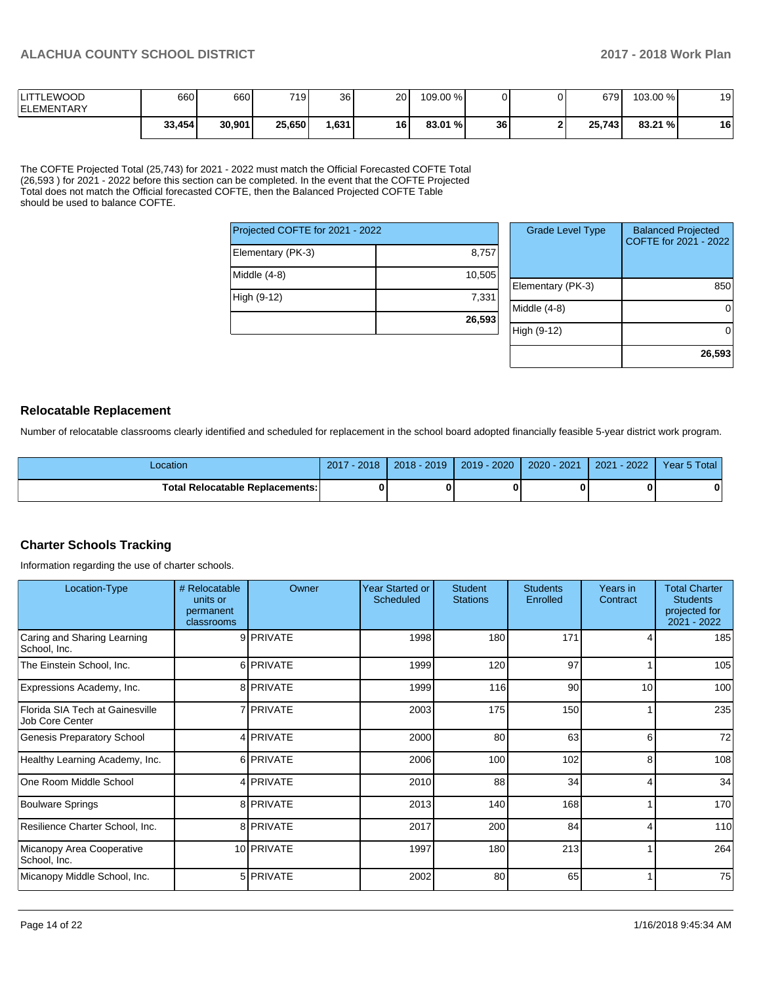| <b>LITTLEWOOD</b><br><b>IELEMENTARY</b> | 660    | 660    | 7191   | 36   | 20 | 109.00 % |    | 679    | 103.00 % | 19 |
|-----------------------------------------|--------|--------|--------|------|----|----------|----|--------|----------|----|
|                                         | 33,454 | 30,901 | 25,650 | .631 | 16 | 83.01 %  | 36 | 25.743 | 83.21 %  | 16 |

The COFTE Projected Total (25,743) for 2021 - 2022 must match the Official Forecasted COFTE Total (26,593 ) for 2021 - 2022 before this section can be completed. In the event that the COFTE Projected Total does not match the Official forecasted COFTE, then the Balanced Projected COFTE Table should be used to balance COFTE.

| Projected COFTE for 2021 - 2022 |        |  |
|---------------------------------|--------|--|
| Elementary (PK-3)               | 8,757  |  |
| Middle (4-8)                    | 10,505 |  |
| High (9-12)                     | 7,331  |  |
|                                 | 26,593 |  |

| <b>Grade Level Type</b> | <b>Balanced Projected</b><br>COFTE for 2021 - 2022 |
|-------------------------|----------------------------------------------------|
| Elementary (PK-3)       | 850                                                |
| Middle (4-8)            |                                                    |
| High (9-12)             |                                                    |
|                         | 26,593                                             |

## **Relocatable Replacement**

Number of relocatable classrooms clearly identified and scheduled for replacement in the school board adopted financially feasible 5-year district work program.

| Location                               | $-2018$<br>2017 | $2018 - 2019$ | $2019 - 2020$ | 2020 - 2021 | 2021<br>$-2022$ | Year 5 Total |
|----------------------------------------|-----------------|---------------|---------------|-------------|-----------------|--------------|
| <b>Total Relocatable Replacements:</b> |                 |               |               |             |                 |              |

## **Charter Schools Tracking**

Information regarding the use of charter schools.

| Location-Type                                      | # Relocatable<br>units or<br>permanent<br>classrooms | Owner            | <b>Year Started or</b><br>Scheduled | <b>Student</b><br><b>Stations</b> | <b>Students</b><br>Enrolled | Years in<br>Contract | <b>Total Charter</b><br><b>Students</b><br>projected for<br>2021 - 2022 |
|----------------------------------------------------|------------------------------------------------------|------------------|-------------------------------------|-----------------------------------|-----------------------------|----------------------|-------------------------------------------------------------------------|
| Caring and Sharing Learning<br>School, Inc.        |                                                      | 9 PRIVATE        | 1998                                | 180                               | 171                         |                      | 185                                                                     |
| The Einstein School, Inc.                          |                                                      | 6 PRIVATE        | 1999                                | 120                               | 97                          |                      | 105                                                                     |
| Expressions Academy, Inc.                          |                                                      | 8 PRIVATE        | 1999                                | 116                               | 90                          | 10                   | 100                                                                     |
| Florida SIA Tech at Gainesville<br>Job Core Center |                                                      | 7 <b>PRIVATE</b> | 2003                                | 175                               | 150                         |                      | 235                                                                     |
| <b>Genesis Preparatory School</b>                  |                                                      | 4 PRIVATE        | 2000                                | 80                                | 63                          | 6                    | 72                                                                      |
| Healthy Learning Academy, Inc.                     |                                                      | 6 PRIVATE        | 2006                                | 100                               | 102                         | 8                    | 108                                                                     |
| One Room Middle School                             |                                                      | 4 PRIVATE        | 2010                                | 88                                | 34                          | 4                    | 34                                                                      |
| Boulware Springs                                   |                                                      | 8 PRIVATE        | 2013                                | 140                               | 168                         |                      | 170                                                                     |
| Resilience Charter School, Inc.                    |                                                      | 8 PRIVATE        | 2017                                | 200                               | 84                          |                      | 110                                                                     |
| Micanopy Area Cooperative<br>School, Inc.          |                                                      | 10 PRIVATE       | 1997                                | 180                               | 213                         |                      | 264                                                                     |
| Micanopy Middle School, Inc.                       |                                                      | 5 PRIVATE        | 2002                                | 80                                | 65                          |                      | 75                                                                      |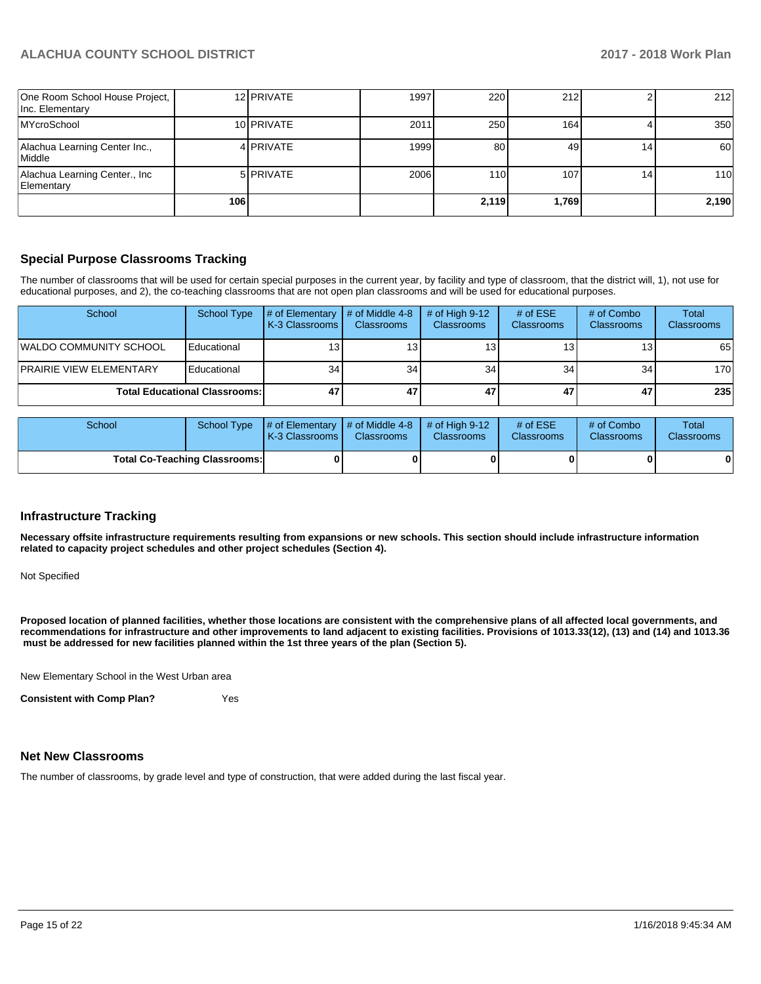| One Room School House Project,<br>Inc. Elementary |     | 12 PRIVATE | 1997 | 220   | 212   |                 | 212        |
|---------------------------------------------------|-----|------------|------|-------|-------|-----------------|------------|
| <b>MYcroSchool</b>                                |     | 10 PRIVATE | 2011 | 250   | 164   |                 | 350        |
| Alachua Learning Center Inc.,<br>Middle           |     | 4 PRIVATE  | 1999 | 80    | 49    | 14              | 60 l       |
| Alachua Learning Center., Inc<br>Elementarv       |     | 5 PRIVATE  | 2006 | 110   | 107   | 14 <sub>1</sub> | <b>110</b> |
|                                                   | 106 |            |      | 2,119 | 1,769 |                 | 2,190      |

## **Special Purpose Classrooms Tracking**

The number of classrooms that will be used for certain special purposes in the current year, by facility and type of classroom, that the district will, 1), not use for educational purposes, and 2), the co-teaching classrooms that are not open plan classrooms and will be used for educational purposes.

| School                               | School Type | $\#$ of Elementary $\#$ of Middle 4-8<br><b>K-3 Classrooms</b> | <b>Classrooms</b> | # of High $9-12$<br><b>Classrooms</b> | # of $ESE$<br><b>Classrooms</b> | # of Combo<br><b>Classrooms</b> | Total<br>Classrooms |
|--------------------------------------|-------------|----------------------------------------------------------------|-------------------|---------------------------------------|---------------------------------|---------------------------------|---------------------|
| <b>IWALDO COMMUNITY SCHOOL</b>       | Educational | 13                                                             | 13 <sup>1</sup>   | 13.                                   | 13                              | 13 <sup>1</sup>                 | 65                  |
| <b>PRAIRIE VIEW ELEMENTARY</b>       | Educational | 34 <sub>1</sub>                                                | 34                | 34                                    | 34                              | 34                              | 170                 |
| <b>Total Educational Classrooms:</b> |             | 47                                                             | 47                | 47                                    | 47                              | 47                              | 235                 |

| School                               |  | <b>K-3 Classrooms I</b> | School Type $\frac{1}{4}$ of Elementary $\frac{1}{4}$ of Middle 4-8 $\frac{1}{4}$ of High 9-12<br><b>Classrooms</b><br><b>Classrooms</b> |  | # of $ESE$<br><b>Classrooms</b> | # of Combo<br><b>Classrooms</b> | Total<br><b>Classrooms</b> |
|--------------------------------------|--|-------------------------|------------------------------------------------------------------------------------------------------------------------------------------|--|---------------------------------|---------------------------------|----------------------------|
| <b>Total Co-Teaching Classrooms:</b> |  |                         |                                                                                                                                          |  |                                 |                                 | 0                          |

#### **Infrastructure Tracking**

**Necessary offsite infrastructure requirements resulting from expansions or new schools. This section should include infrastructure information related to capacity project schedules and other project schedules (Section 4).** 

Not Specified

**Proposed location of planned facilities, whether those locations are consistent with the comprehensive plans of all affected local governments, and recommendations for infrastructure and other improvements to land adjacent to existing facilities. Provisions of 1013.33(12), (13) and (14) and 1013.36 must be addressed for new facilities planned within the 1st three years of the plan (Section 5).** 

New Elementary School in the West Urban area

**Consistent with Comp Plan?** Yes

#### **Net New Classrooms**

The number of classrooms, by grade level and type of construction, that were added during the last fiscal year.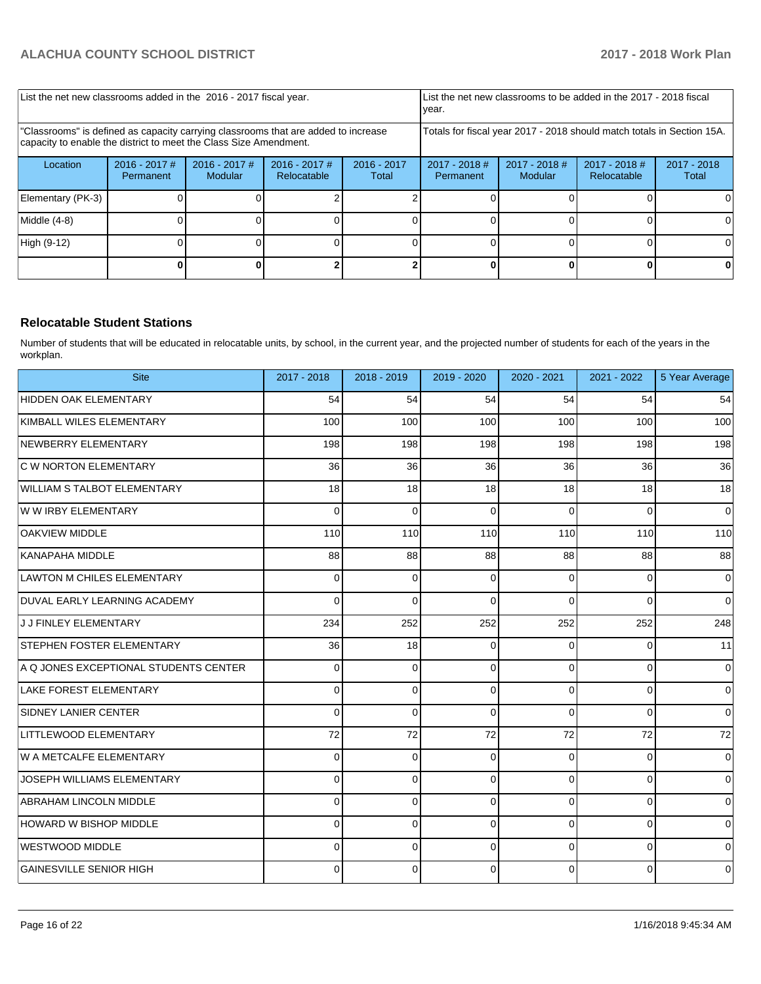| List the net new classrooms added in the 2016 - 2017 fiscal year.                                                                                       | List the net new classrooms to be added in the 2017 - 2018 fiscal<br>year. |                                   |                                                                        |                        |                                                                                              |  |  |                        |
|---------------------------------------------------------------------------------------------------------------------------------------------------------|----------------------------------------------------------------------------|-----------------------------------|------------------------------------------------------------------------|------------------------|----------------------------------------------------------------------------------------------|--|--|------------------------|
| "Classrooms" is defined as capacity carrying classrooms that are added to increase<br>capacity to enable the district to meet the Class Size Amendment. |                                                                            |                                   | Totals for fiscal year 2017 - 2018 should match totals in Section 15A. |                        |                                                                                              |  |  |                        |
| Location                                                                                                                                                | $2016 - 2017$ #<br>Permanent                                               | $2016 - 2017$ #<br><b>Modular</b> | $2016 - 2017$ #<br>Relocatable                                         | $2016 - 2017$<br>Total | $2017 - 2018$ #<br>$2017 - 2018$ #<br>$2017 - 2018$ #<br>Modular<br>Relocatable<br>Permanent |  |  | $2017 - 2018$<br>Total |
| Elementary (PK-3)                                                                                                                                       |                                                                            |                                   |                                                                        |                        |                                                                                              |  |  |                        |
| Middle (4-8)                                                                                                                                            |                                                                            |                                   |                                                                        |                        |                                                                                              |  |  |                        |
| High (9-12)                                                                                                                                             |                                                                            |                                   |                                                                        |                        |                                                                                              |  |  | 0                      |
|                                                                                                                                                         |                                                                            |                                   |                                                                        |                        |                                                                                              |  |  |                        |

## **Relocatable Student Stations**

Number of students that will be educated in relocatable units, by school, in the current year, and the projected number of students for each of the years in the workplan.

| <b>Site</b>                           | 2017 - 2018 | 2018 - 2019  | 2019 - 2020 | 2020 - 2021 | 2021 - 2022    | 5 Year Average |
|---------------------------------------|-------------|--------------|-------------|-------------|----------------|----------------|
| HIDDEN OAK ELEMENTARY                 | 54          | 54           | 54          | 54          | 54             | 54             |
| KIMBALL WILES ELEMENTARY              | 100         | 100          | 100         | 100         | 100            | 100            |
| NEWBERRY ELEMENTARY                   | 198         | 198          | 198         | 198         | 198            | 198            |
| C W NORTON ELEMENTARY                 | 36          | 36           | 36          | 36          | 36             | 36             |
| WILLIAM S TALBOT ELEMENTARY           | 18          | 18           | 18          | 18          | 18             | 18             |
| W W IRBY ELEMENTARY                   | 0           | $\Omega$     | $\Omega$    | $\Omega$    | $\Omega$       | $\mathbf 0$    |
| <b>OAKVIEW MIDDLE</b>                 | 110         | 110          | 110         | 110         | 110            | 110            |
| KANAPAHA MIDDLE                       | 88          | 88           | 88          | 88          | 88             | 88             |
| <b>LAWTON M CHILES ELEMENTARY</b>     | $\mathbf 0$ | $\Omega$     | $\Omega$    | $\mathbf 0$ | 0              | $\mathbf 0$    |
| DUVAL EARLY LEARNING ACADEMY          | $\Omega$    | $\mathbf{0}$ | $\Omega$    | $\Omega$    | $\overline{0}$ | $\mathbf 0$    |
| J J FINLEY ELEMENTARY                 | 234         | 252          | 252         | 252         | 252            | 248            |
| <b>STEPHEN FOSTER ELEMENTARY</b>      | 36          | 18           | $\Omega$    | 0           | 0              | 11             |
| A Q JONES EXCEPTIONAL STUDENTS CENTER | 0           | 0            | $\Omega$    | 0           | 0              | $\mathbf 0$    |
| LAKE FOREST ELEMENTARY                | 0           | 0            | $\Omega$    | 0           | 0              | $\mathbf 0$    |
| <b>SIDNEY LANIER CENTER</b>           | 0           | 0            | $\Omega$    | 0           | 0              | $\mathbf 0$    |
| LITTLEWOOD ELEMENTARY                 | 72          | 72           | 72          | 72          | 72             | 72             |
| W A METCALFE ELEMENTARY               | 0           | 0            | 0           | 0           | 0              | $\mathbf 0$    |
| JOSEPH WILLIAMS ELEMENTARY            | 0           | 0            | $\Omega$    | $\mathbf 0$ | 0              | $\mathbf 0$    |
| <b>ABRAHAM LINCOLN MIDDLE</b>         | 0           | 0            | $\Omega$    | $\mathbf 0$ | 0              | $\mathbf 0$    |
| HOWARD W BISHOP MIDDLE                | $\Omega$    | $\Omega$     | $\Omega$    | $\mathbf 0$ | $\Omega$       | $\mathbf 0$    |
| WESTWOOD MIDDLE                       | 0           | $\Omega$     | $\Omega$    | $\Omega$    | 0              | $\mathbf 0$    |
| <b>GAINESVILLE SENIOR HIGH</b>        | 0           | 0            | $\Omega$    | $\mathbf 0$ | 0              | $\mathbf 0$    |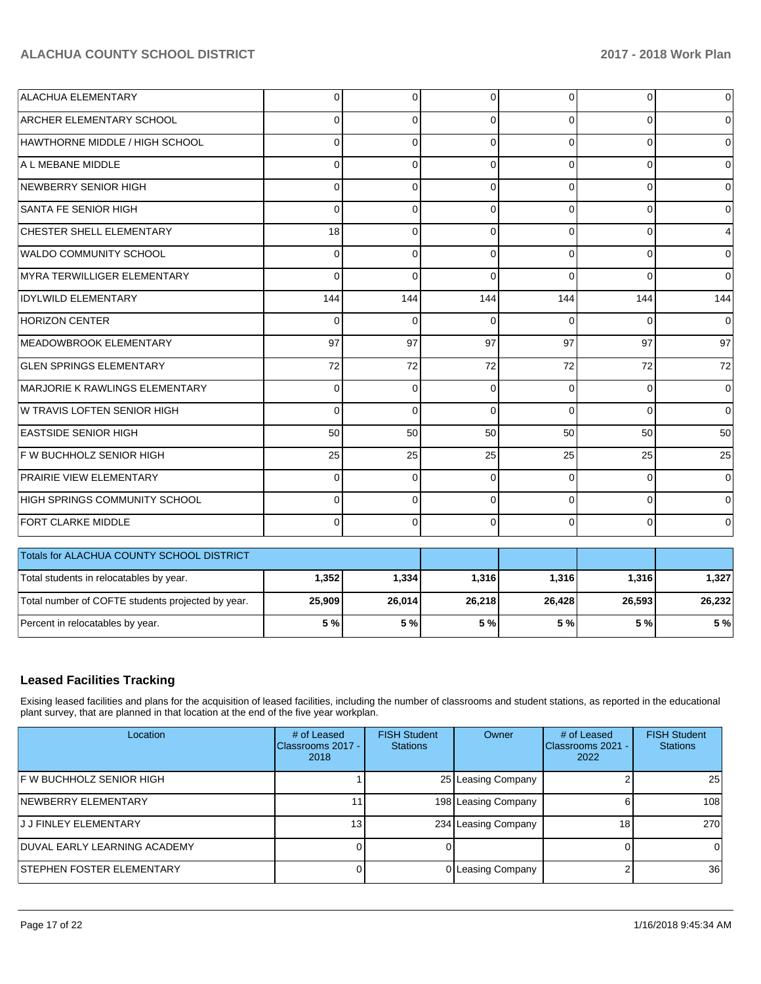| <b>ALACHUA ELEMENTARY</b>                         | 0            | 0            | 0            | $\overline{0}$ | $\mathbf 0$ | 0           |
|---------------------------------------------------|--------------|--------------|--------------|----------------|-------------|-------------|
| <b>ARCHER ELEMENTARY SCHOOL</b>                   | $\Omega$     | $\Omega$     | $\Omega$     | 0              | $\Omega$    | 0           |
| HAWTHORNE MIDDLE / HIGH SCHOOL                    | 0            | $\mathbf 0$  | $\Omega$     | $\Omega$       | $\Omega$    | $\Omega$    |
| A L MEBANE MIDDLE                                 | 0            | $\Omega$     | $\Omega$     | 0              | $\Omega$    | 0           |
| NEWBERRY SENIOR HIGH                              | 0            | 0            | $\Omega$     | $\Omega$       | $\Omega$    | 0           |
| SANTA FE SENIOR HIGH                              | $\Omega$     | $\Omega$     | $\Omega$     | $\Omega$       | $\Omega$    | $\Omega$    |
| CHESTER SHELL ELEMENTARY                          | 18           | 0            | $\Omega$     | $\Omega$       | $\Omega$    | 4           |
| WALDO COMMUNITY SCHOOL                            | $\Omega$     | $\mathbf 0$  | $\Omega$     | $\Omega$       | $\Omega$    | 0           |
| MYRA TERWILLIGER ELEMENTARY                       | $\Omega$     | $\mathbf{0}$ | $\Omega$     | $\Omega$       | $\Omega$    | $\Omega$    |
| <b>IDYLWILD ELEMENTARY</b>                        | 144          | 144          | 144          | 144            | 144         | 144         |
| <b>HORIZON CENTER</b>                             | $\Omega$     | $\Omega$     | $\Omega$     | $\Omega$       | $\Omega$    | $\Omega$    |
| MEADOWBROOK ELEMENTARY                            | 97           | 97           | 97           | 97             | 97          | 97          |
| <b>GLEN SPRINGS ELEMENTARY</b>                    | 72           | 72           | 72           | 72             | 72          | 72          |
| MARJORIE K RAWLINGS ELEMENTARY                    | $\Omega$     | $\mathbf 0$  | $\Omega$     | $\Omega$       | $\Omega$    | $\Omega$    |
| W TRAVIS LOFTEN SENIOR HIGH                       | $\Omega$     | $\mathbf 0$  | $\mathbf{0}$ | $\Omega$       | $\Omega$    | $\mathbf 0$ |
| <b>EASTSIDE SENIOR HIGH</b>                       | 50           | 50           | 50           | 50             | 50          | 50          |
| F W BUCHHOLZ SENIOR HIGH                          | 25           | 25           | 25           | 25             | 25          | 25          |
| PRAIRIE VIEW ELEMENTARY                           | <sup>0</sup> | $\Omega$     | $\Omega$     | <sup>0</sup>   | $\Omega$    | $\Omega$    |
| HIGH SPRINGS COMMUNITY SCHOOL                     | 0            | 0            | $\Omega$     | $\Omega$       | $\Omega$    | $\Omega$    |
| FORT CLARKE MIDDLE                                | $\Omega$     | $\Omega$     | $\Omega$     | $\Omega$       | $\Omega$    | 0           |
| Totals for ALACHUA COUNTY SCHOOL DISTRICT         |              |              |              |                |             |             |
| Total students in relocatables by year.           | 1,352        | 1,334        | 1,316        | 1,316          | 1,316       | 1,327       |
| Total number of COFTE students projected by year. | 25,909       | 26,014       | 26,218       | 26,428         | 26,593      | 26,232      |
| Percent in relocatables by year.                  | 5 %          | 5 %          | 5 %          | 5 %            | 5 %         | 5 %         |

## **Leased Facilities Tracking**

Exising leased facilities and plans for the acquisition of leased facilities, including the number of classrooms and student stations, as reported in the educational plant survey, that are planned in that location at the end of the five year workplan.

| Location                            | # of Leased<br>Classrooms 2017 -<br>2018 | <b>FISH Student</b><br><b>Stations</b> | Owner               | # of Leased<br>Classrooms 2021 -<br>2022 | <b>FISH Student</b><br><b>Stations</b> |
|-------------------------------------|------------------------------------------|----------------------------------------|---------------------|------------------------------------------|----------------------------------------|
| IF W BUCHHOLZ SENIOR HIGH           |                                          |                                        | 25 Leasing Company  |                                          | 25                                     |
| NEWBERRY ELEMENTARY                 |                                          |                                        | 198 Leasing Company |                                          | 108                                    |
| IJ J FINLEY ELEMENTARY              | 13 I                                     |                                        | 234 Leasing Company | 18 <sub>1</sub>                          | 270                                    |
| <b>DUVAL EARLY LEARNING ACADEMY</b> |                                          |                                        |                     |                                          | 0                                      |
| <b>STEPHEN FOSTER ELEMENTARY</b>    |                                          |                                        | 0 Leasing Company   |                                          | 36                                     |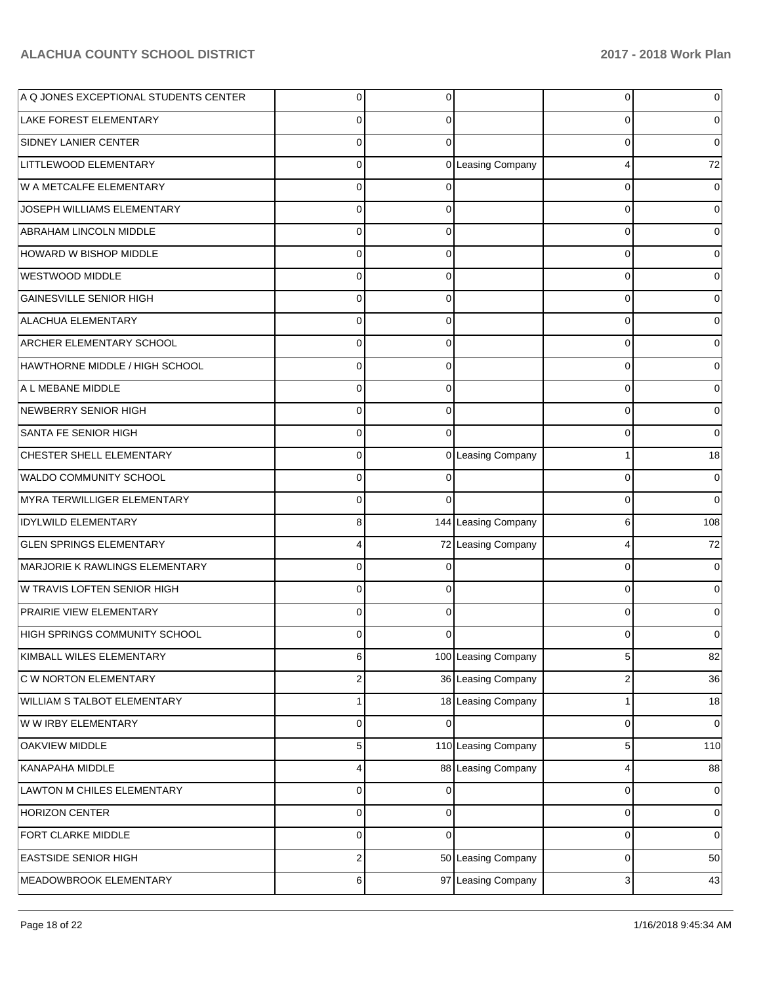| A Q JONES EXCEPTIONAL STUDENTS CENTER | $\mathbf 0$      | 0        |                     | 0        |             |
|---------------------------------------|------------------|----------|---------------------|----------|-------------|
| <b>LAKE FOREST ELEMENTARY</b>         | $\mathbf 0$      | 0        |                     | 0        |             |
| SIDNEY LANIER CENTER                  | $\mathbf 0$      | $\Omega$ |                     | 0        |             |
| LITTLEWOOD ELEMENTARY                 | $\mathbf 0$      |          | 0 Leasing Company   | 4        | 72          |
| W A METCALFE ELEMENTARY               | $\mathbf 0$      |          |                     | 0        |             |
| JOSEPH WILLIAMS ELEMENTARY            | $\mathbf 0$      | 0        |                     | 0        |             |
| ABRAHAM LINCOLN MIDDLE                | $\mathbf 0$      | 0        |                     | 0        |             |
| HOWARD W BISHOP MIDDLE                | $\mathbf 0$      | 0        |                     | 0        |             |
| <b>WESTWOOD MIDDLE</b>                | $\mathbf 0$      | 0        |                     | 0        |             |
| <b>GAINESVILLE SENIOR HIGH</b>        | $\mathbf 0$      | 0        |                     | 0        |             |
| ALACHUA ELEMENTARY                    | $\mathbf 0$      | 0        |                     | 0        |             |
| ARCHER ELEMENTARY SCHOOL              | $\mathbf 0$      | 0        |                     | 0        |             |
| HAWTHORNE MIDDLE / HIGH SCHOOL        | $\mathbf 0$      | 0        |                     | 0        |             |
| A L MEBANE MIDDLE                     | $\mathbf 0$      | 0        |                     | 0        |             |
| NEWBERRY SENIOR HIGH                  | $\mathbf 0$      | 0        |                     | 0        |             |
| SANTA FE SENIOR HIGH                  | $\mathbf 0$      | $\Omega$ |                     | 0        |             |
| CHESTER SHELL ELEMENTARY              | $\mathbf 0$      |          | 0 Leasing Company   |          | 18          |
| WALDO COMMUNITY SCHOOL                | $\mathbf 0$      | 0        |                     | 0        | 0           |
| MYRA TERWILLIGER ELEMENTARY           | $\Omega$         | $\Omega$ |                     | $\Omega$ | $\Omega$    |
| <b>IDYLWILD ELEMENTARY</b>            | 8                |          | 144 Leasing Company | 6        | 108         |
| <b>GLEN SPRINGS ELEMENTARY</b>        | 4                |          | 72 Leasing Company  | 4        | 72          |
| MARJORIE K RAWLINGS ELEMENTARY        | $\mathbf 0$      | 0        |                     | 0        |             |
| W TRAVIS LOFTEN SENIOR HIGH           | $\Omega$         | 0        |                     | 0        |             |
| PRAIRIE VIEW ELEMENTARY               | $\mathbf 0$      | 0        |                     | 0        |             |
| HIGH SPRINGS COMMUNITY SCHOOL         | $\Omega$         | ∩        |                     | 0        |             |
| KIMBALL WILES ELEMENTARY              | 6                |          | 100 Leasing Company | 5        | 82          |
| C W NORTON ELEMENTARY                 | $\overline{c}$   |          | 36 Leasing Company  | 2        | 36          |
| WILLIAM S TALBOT ELEMENTARY           | $\mathbf{1}$     |          | 18 Leasing Company  | 1        | $18$        |
| W W IRBY ELEMENTARY                   | $\pmb{0}$        | 0        |                     | 0        | 0           |
| OAKVIEW MIDDLE                        | $\mathbf 5$      |          | 110 Leasing Company | 5        | 110         |
| KANAPAHA MIDDLE                       | 4                |          | 88 Leasing Company  | 4        | 88          |
| LAWTON M CHILES ELEMENTARY            | 0                | 0        |                     | 0        | 0           |
| <b>HORIZON CENTER</b>                 | $\pmb{0}$        | 0        |                     | 0        | 0           |
| FORT CLARKE MIDDLE                    | $\pmb{0}$        | $\Omega$ |                     | 0        | $\mathbf 0$ |
| <b>EASTSIDE SENIOR HIGH</b>           | $\boldsymbol{2}$ |          | 50 Leasing Company  | 0        | 50          |
| MEADOWBROOK ELEMENTARY                | 6                |          | 97 Leasing Company  | 3        | 43          |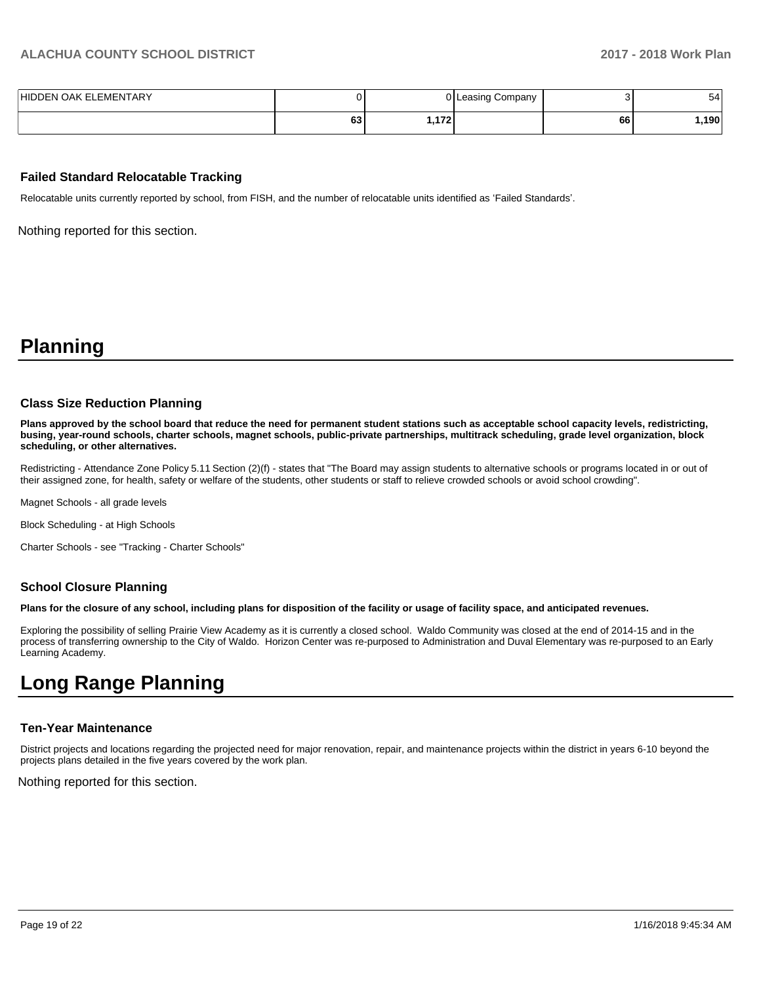| HIDDEN OAK ELEMENTARY |               |        | 0 Leasing Company |    | 54    |
|-----------------------|---------------|--------|-------------------|----|-------|
|                       | $\sim$<br>0J. | '172.، |                   | 66 | ا190. |

#### **Failed Standard Relocatable Tracking**

Relocatable units currently reported by school, from FISH, and the number of relocatable units identified as 'Failed Standards'.

Nothing reported for this section.

# **Planning**

#### **Class Size Reduction Planning**

**Plans approved by the school board that reduce the need for permanent student stations such as acceptable school capacity levels, redistricting, busing, year-round schools, charter schools, magnet schools, public-private partnerships, multitrack scheduling, grade level organization, block scheduling, or other alternatives.**

Redistricting - Attendance Zone Policy 5.11 Section (2)(f) - states that "The Board may assign students to alternative schools or programs located in or out of their assigned zone, for health, safety or welfare of the students, other students or staff to relieve crowded schools or avoid school crowding".

Magnet Schools - all grade levels

Block Scheduling - at High Schools

Charter Schools - see "Tracking - Charter Schools"

#### **School Closure Planning**

**Plans for the closure of any school, including plans for disposition of the facility or usage of facility space, and anticipated revenues.** 

Exploring the possibility of selling Prairie View Academy as it is currently a closed school. Waldo Community was closed at the end of 2014-15 and in the process of transferring ownership to the City of Waldo. Horizon Center was re-purposed to Administration and Duval Elementary was re-purposed to an Early Learning Academy.

# **Long Range Planning**

#### **Ten-Year Maintenance**

District projects and locations regarding the projected need for major renovation, repair, and maintenance projects within the district in years 6-10 beyond the projects plans detailed in the five years covered by the work plan.

Nothing reported for this section.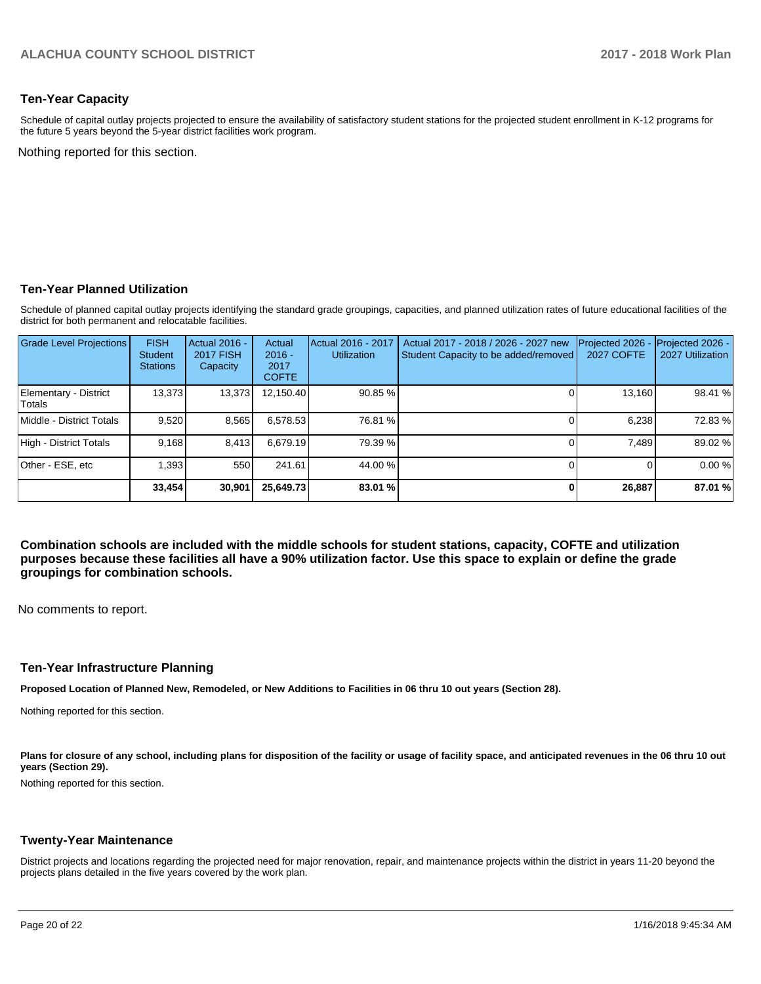#### **Ten-Year Capacity**

Schedule of capital outlay projects projected to ensure the availability of satisfactory student stations for the projected student enrollment in K-12 programs for the future 5 years beyond the 5-year district facilities work program.

Nothing reported for this section.

#### **Ten-Year Planned Utilization**

Schedule of planned capital outlay projects identifying the standard grade groupings, capacities, and planned utilization rates of future educational facilities of the district for both permanent and relocatable facilities.

| <b>Grade Level Projections</b>  | <b>FISH</b><br><b>Student</b><br><b>Stations</b> | <b>Actual 2016 -</b><br><b>2017 FISH</b><br>Capacity | Actual<br>$2016 -$<br>2017<br><b>COFTE</b> | Actual 2016 - 2017<br><b>Utilization</b> | Actual 2017 - 2018 / 2026 - 2027 new<br>Student Capacity to be added/removed | Projected 2026<br><b>2027 COFTE</b> | Projected 2026 -<br>2027 Utilization |
|---------------------------------|--------------------------------------------------|------------------------------------------------------|--------------------------------------------|------------------------------------------|------------------------------------------------------------------------------|-------------------------------------|--------------------------------------|
| Elementary - District<br>Totals | 13,373                                           | 13,373                                               | 12,150.40                                  | 90.85 %                                  |                                                                              | 13,160                              | 98.41 %                              |
| Middle - District Totals        | 9.520                                            | 8,565                                                | 6,578.53                                   | 76.81 %                                  |                                                                              | 6.238                               | 72.83%                               |
| High - District Totals          | 9,168                                            | 8.413                                                | 6.679.19                                   | 79.39 %                                  |                                                                              | 7.489                               | 89.02 %                              |
| Other - ESE, etc                | 1,393                                            | 550                                                  | 241.61                                     | 44.00 %                                  |                                                                              |                                     | 0.00%                                |
|                                 | 33.454                                           | 30,901                                               | 25,649.73                                  | 83.01 %                                  |                                                                              | 26,887                              | 87.01 %                              |

**Combination schools are included with the middle schools for student stations, capacity, COFTE and utilization purposes because these facilities all have a 90% utilization factor. Use this space to explain or define the grade groupings for combination schools.** 

No comments to report.

#### **Ten-Year Infrastructure Planning**

**Proposed Location of Planned New, Remodeled, or New Additions to Facilities in 06 thru 10 out years (Section 28).**

Nothing reported for this section.

Plans for closure of any school, including plans for disposition of the facility or usage of facility space, and anticipated revenues in the 06 thru 10 out **years (Section 29).**

Nothing reported for this section.

#### **Twenty-Year Maintenance**

District projects and locations regarding the projected need for major renovation, repair, and maintenance projects within the district in years 11-20 beyond the projects plans detailed in the five years covered by the work plan.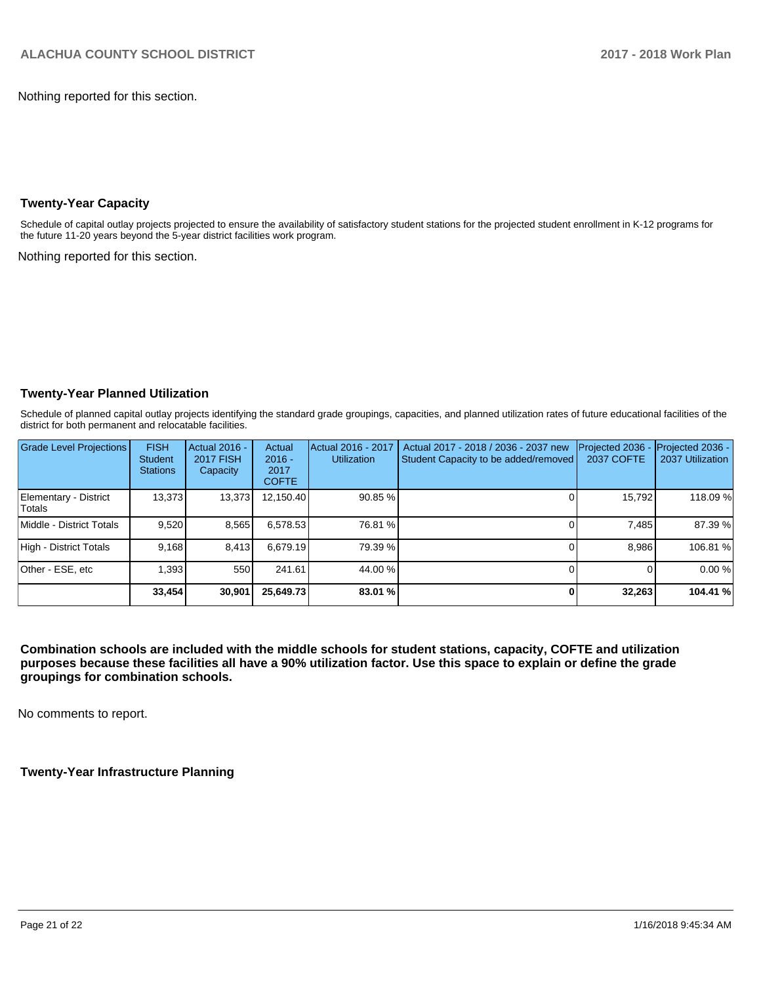Nothing reported for this section.

## **Twenty-Year Capacity**

Schedule of capital outlay projects projected to ensure the availability of satisfactory student stations for the projected student enrollment in K-12 programs for the future 11-20 years beyond the 5-year district facilities work program.

Nothing reported for this section.

## **Twenty-Year Planned Utilization**

Schedule of planned capital outlay projects identifying the standard grade groupings, capacities, and planned utilization rates of future educational facilities of the district for both permanent and relocatable facilities.

| Grade Level Projections          | <b>FISH</b><br><b>Student</b><br><b>Stations</b> | Actual 2016 -<br><b>2017 FISH</b><br>Capacity | Actual<br>$2016 -$<br>2017<br><b>COFTE</b> | Actual 2016 - 2017<br><b>Utilization</b> | Actual 2017 - 2018 / 2036 - 2037 new<br>Student Capacity to be added/removed | Projected 2036<br>2037 COFTE | Projected 2036 -<br>2037 Utilization |
|----------------------------------|--------------------------------------------------|-----------------------------------------------|--------------------------------------------|------------------------------------------|------------------------------------------------------------------------------|------------------------------|--------------------------------------|
| Elementary - District<br>lTotals | 13.373                                           | 13,373                                        | 12.150.40                                  | 90.85 %                                  |                                                                              | 15,792                       | 118.09 %                             |
| Middle - District Totals         | 9.520                                            | 8,565                                         | 6.578.53                                   | 76.81 %                                  |                                                                              | 7.485                        | 87.39 %                              |
| High - District Totals           | 9.168                                            | 8,413                                         | 6.679.19                                   | 79.39 %                                  |                                                                              | 8.986                        | 106.81%                              |
| Other - ESE, etc                 | .393                                             | 550                                           | 241.61                                     | 44.00 %                                  |                                                                              |                              | 0.00%                                |
|                                  | 33,454                                           | 30,901                                        | 25,649.73                                  | 83.01 %                                  |                                                                              | 32,263                       | 104.41 %                             |

**Combination schools are included with the middle schools for student stations, capacity, COFTE and utilization purposes because these facilities all have a 90% utilization factor. Use this space to explain or define the grade groupings for combination schools.** 

No comments to report.

**Twenty-Year Infrastructure Planning**